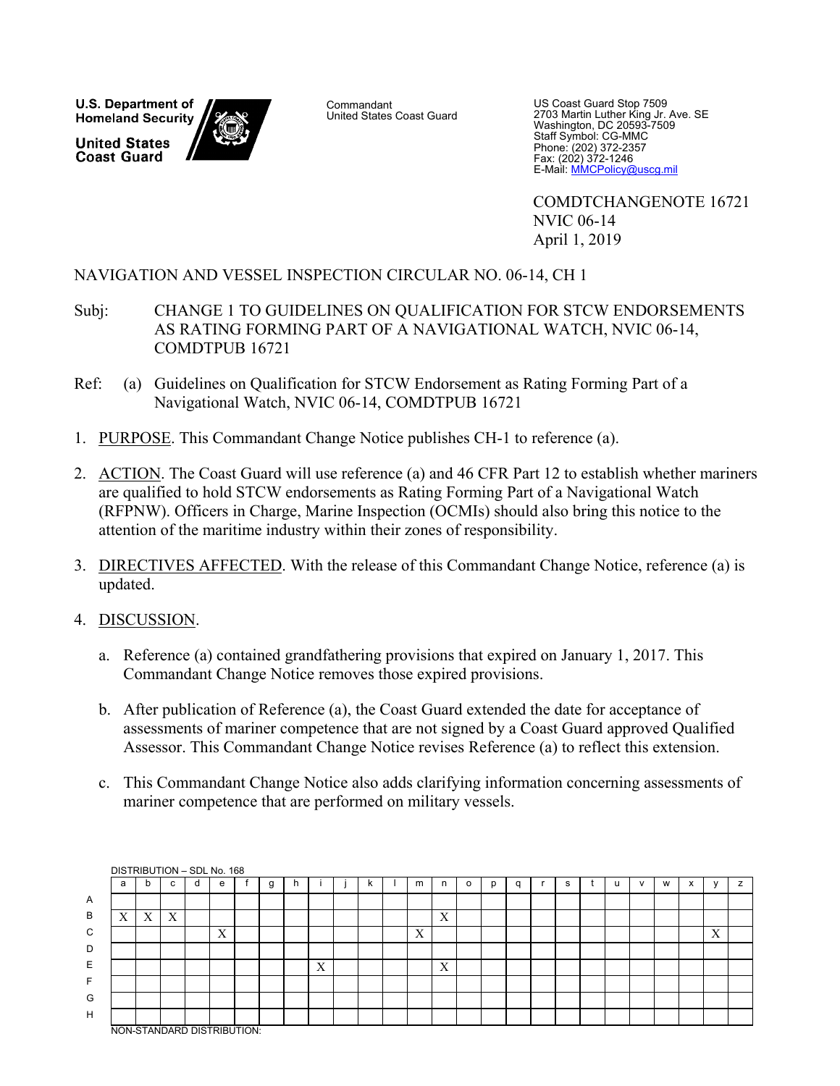U.S. Department of **Homeland Security United States Coast Guard** 

**Commandant** United States Coast Guard

US Coast Guard Stop 7509 2703 Martin Luther King Jr. Ave. SE Washington, DC 20593-7509 Staff Symbol: CG-MMC Phone: (202) 372-2357 Fax: (202) 372-1246 E-Mail: MMCPolicy@uscg.mil

 COMDTCHANGENOTE 16721 NVIC 06-14 April 1, 2019

# NAVIGATION AND VESSEL INSPECTION CIRCULAR NO. 06-14, CH 1

- Subj: CHANGE 1 TO GUIDELINES ON QUALIFICATION FOR STCW ENDORSEMENTS AS RATING FORMING PART OF A NAVIGATIONAL WATCH, NVIC 06-14, COMDTPUB 16721
- Ref: (a) Guidelines on Qualification for STCW Endorsement as Rating Forming Part of a Navigational Watch, NVIC 06-14, COMDTPUB 16721
- 1. PURPOSE. This Commandant Change Notice publishes CH-1 to reference (a).
- 2. ACTION. The Coast Guard will use reference (a) and 46 CFR Part 12 to establish whether mariners are qualified to hold STCW endorsements as Rating Forming Part of a Navigational Watch (RFPNW). Officers in Charge, Marine Inspection (OCMIs) should also bring this notice to the attention of the maritime industry within their zones of responsibility.
- 3. DIRECTIVES AFFECTED. With the release of this Commandant Change Notice, reference (a) is updated.
- 4. DISCUSSION.
	- a. Reference (a) contained grandfathering provisions that expired on January 1, 2017. This Commandant Change Notice removes those expired provisions.
	- b. After publication of Reference (a), the Coast Guard extended the date for acceptance of assessments of mariner competence that are not signed by a Coast Guard approved Qualified Assessor. This Commandant Change Notice revises Reference (a) to reflect this extension.
	- c. This Commandant Change Notice also adds clarifying information concerning assessments of mariner competence that are performed on military vessels.

|                | DISTRIBUTION - SDL No. 168 |   |   |   |   |  |   |     |   |    |   |   |   |  |   |  |              |   |           |   |   |
|----------------|----------------------------|---|---|---|---|--|---|-----|---|----|---|---|---|--|---|--|--------------|---|-----------|---|---|
|                | a                          | b | с | d | е |  | g | -11 |   | n. | m | n | o |  | s |  | $\mathbf{v}$ | W | $\lambda$ |   | z |
| $\overline{A}$ |                            |   |   |   |   |  |   |     |   |    |   |   |   |  |   |  |              |   |           |   |   |
| B              | v<br>$\Lambda$             | X | X |   |   |  |   |     |   |    |   | Χ |   |  |   |  |              |   |           |   |   |
| C              |                            |   |   |   | X |  |   |     |   |    | X |   |   |  |   |  |              |   |           | Χ |   |
| D              |                            |   |   |   |   |  |   |     |   |    |   |   |   |  |   |  |              |   |           |   |   |
| E              |                            |   |   |   |   |  |   |     | X |    |   | X |   |  |   |  |              |   |           |   |   |
| F              |                            |   |   |   |   |  |   |     |   |    |   |   |   |  |   |  |              |   |           |   |   |
| G              |                            |   |   |   |   |  |   |     |   |    |   |   |   |  |   |  |              |   |           |   |   |
| H              |                            |   |   |   |   |  |   |     |   |    |   |   |   |  |   |  |              |   |           |   |   |
|                | NON-STANDARD DISTRIBUTION: |   |   |   |   |  |   |     |   |    |   |   |   |  |   |  |              |   |           |   |   |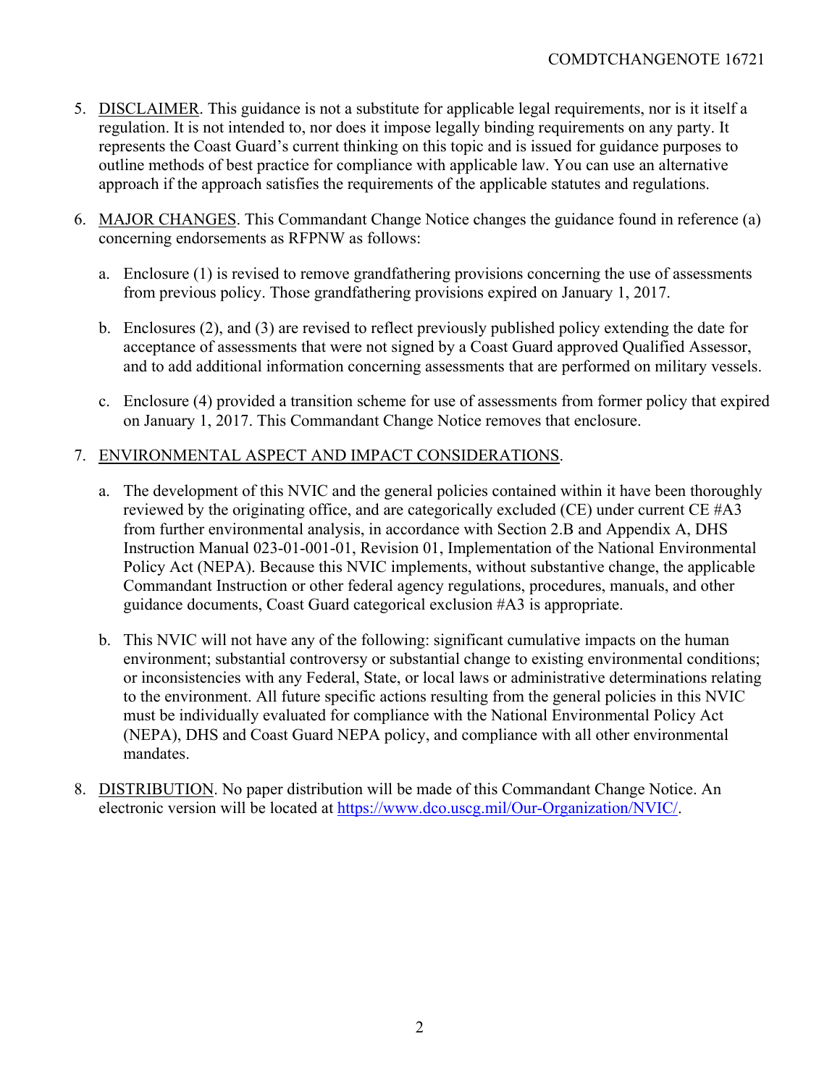- 5. DISCLAIMER. This guidance is not a substitute for applicable legal requirements, nor is it itself a regulation. It is not intended to, nor does it impose legally binding requirements on any party. It represents the Coast Guard's current thinking on this topic and is issued for guidance purposes to outline methods of best practice for compliance with applicable law. You can use an alternative approach if the approach satisfies the requirements of the applicable statutes and regulations.
- 6. MAJOR CHANGES. This Commandant Change Notice changes the guidance found in reference (a) concerning endorsements as RFPNW as follows:
	- a. Enclosure (1) is revised to remove grandfathering provisions concerning the use of assessments from previous policy. Those grandfathering provisions expired on January 1, 2017.
	- b. Enclosures (2), and (3) are revised to reflect previously published policy extending the date for acceptance of assessments that were not signed by a Coast Guard approved Qualified Assessor, and to add additional information concerning assessments that are performed on military vessels.
	- c. Enclosure (4) provided a transition scheme for use of assessments from former policy that expired on January 1, 2017. This Commandant Change Notice removes that enclosure.

# 7. ENVIRONMENTAL ASPECT AND IMPACT CONSIDERATIONS.

- a. The development of this NVIC and the general policies contained within it have been thoroughly reviewed by the originating office, and are categorically excluded (CE) under current CE #A3 from further environmental analysis, in accordance with Section 2.B and Appendix A, DHS Instruction Manual 023-01-001-01, Revision 01, Implementation of the National Environmental Policy Act (NEPA). Because this NVIC implements, without substantive change, the applicable Commandant Instruction or other federal agency regulations, procedures, manuals, and other guidance documents, Coast Guard categorical exclusion #A3 is appropriate.
- b. This NVIC will not have any of the following: significant cumulative impacts on the human environment; substantial controversy or substantial change to existing environmental conditions; or inconsistencies with any Federal, State, or local laws or administrative determinations relating to the environment. All future specific actions resulting from the general policies in this NVIC must be individually evaluated for compliance with the National Environmental Policy Act (NEPA), DHS and Coast Guard NEPA policy, and compliance with all other environmental mandates.
- 8. DISTRIBUTION. No paper distribution will be made of this Commandant Change Notice. An electronic version will be located at https://www.dco.uscg.mil/Our-Organization/NVIC/.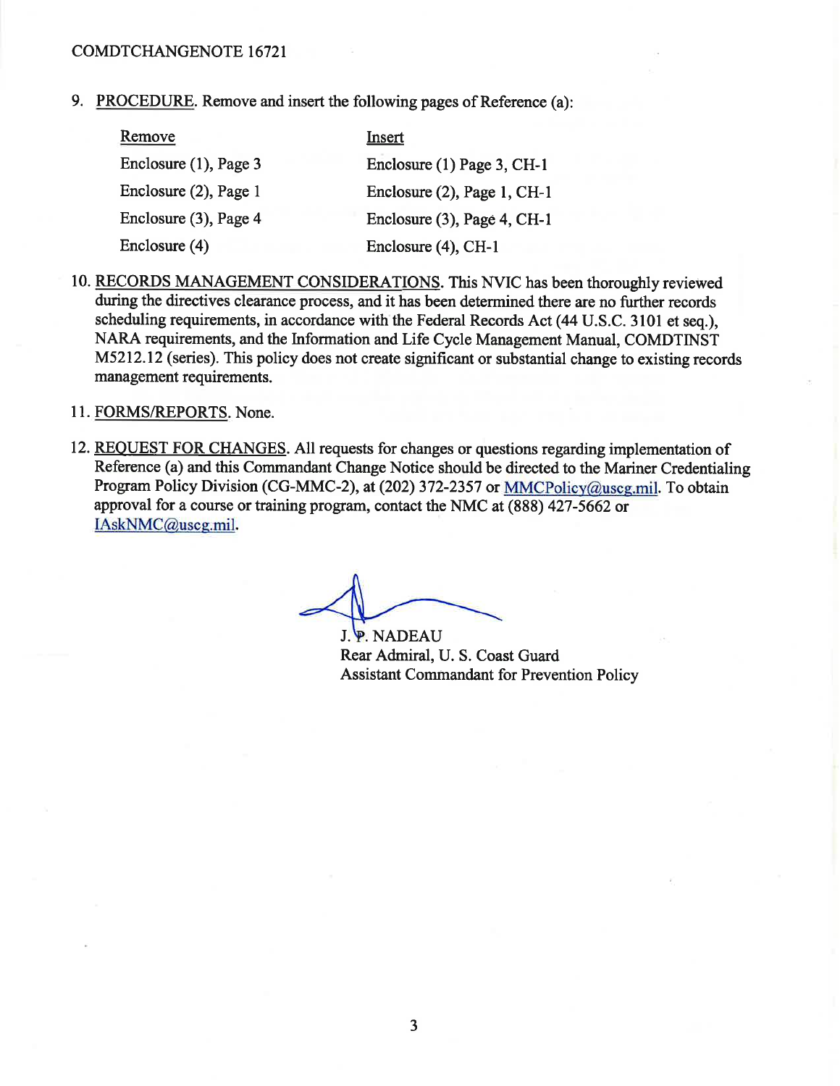9. PROCEDURE. Remove and insert the following pages of Reference (a):

| Remove                | Insert                         |
|-----------------------|--------------------------------|
| Enclosure (1), Page 3 | Enclosure (1) Page 3, CH-1     |
| Enclosure (2), Page 1 | Enclosure $(2)$ , Page 1, CH-1 |
| Enclosure (3), Page 4 | Enclosure $(3)$ , Page 4, CH-1 |
| Enclosure (4)         | Enclosure (4), CH-1            |

- 10. RECORDS MANAGEMENT CONSIDERATIONS. This NVIC has been thoroughly reviewed during the directives clearance process, and it has been determined there are no further records scheduling requirements, in accordance with the Federal Records Act (44 U.S.C. 3101 et seq.), NARA requirements, and the Information and Life Cycle Management Manual, COMDTINST M5212.12 (series). This policy does not create significant or substantial change to existing records management requirements.
- 11. FORMS/REPORTS. None.
- 12. REQUEST FOR CHANGES. All requests for changes or questions regarding implementation of Reference (a) and this Commandant Change Notice should be directed to the Mariner Credentialing Program Policy Division (CG-MMC-2), at (202) 372-2357 or MMCPolicy@uscg.mil. To obtain approval for a course or training program, contact the NMC at (888) 427-5662 or IAskNMC@uscg.mil.

J. P. NADEAU Rear Admiral, U. S. Coast Guard **Assistant Commandant for Prevention Policy**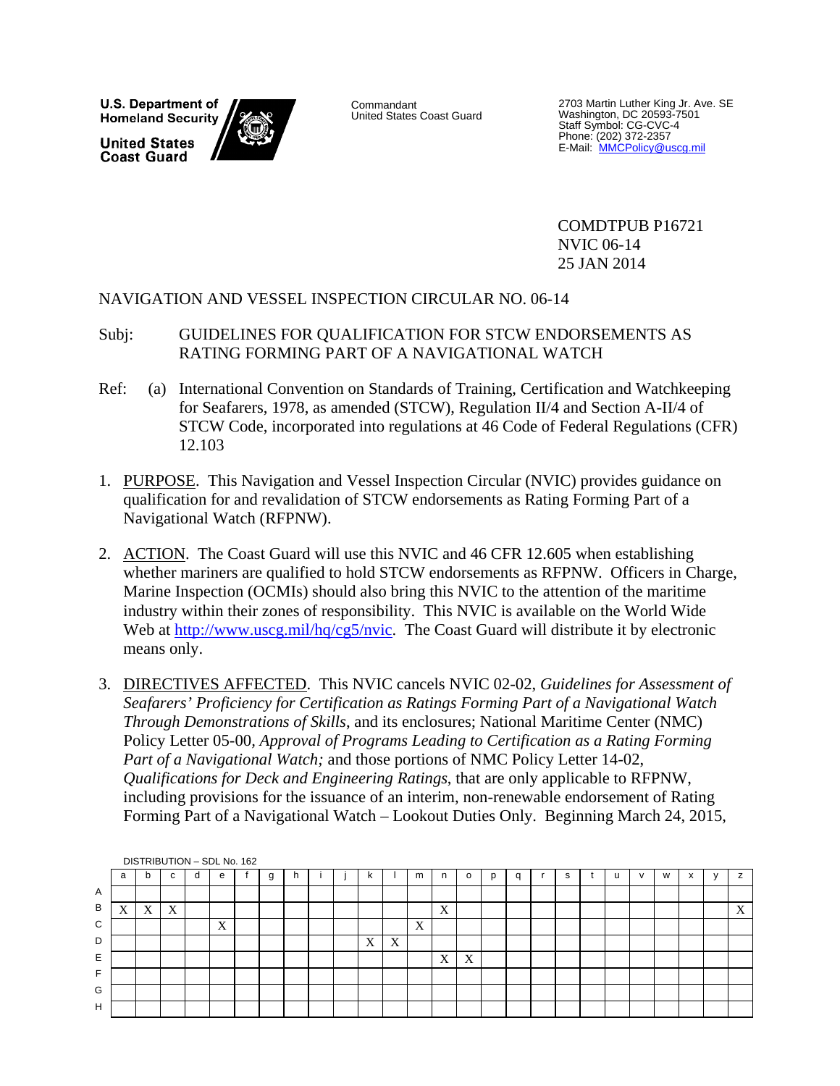U.S. Department of **Homeland Security United States Coast Guard** 



Commandant United States Coast Guard

2703 Martin Luther King Jr. Ave. SE Washington, DC 20593-7501 Staff Symbol: CG-CVC-4 Phone: (202) 372-2357<br>E-Mail: <u>MMCPolicy@uscg.mil</u>

 COMDTPUB P16721 NVIC 06-14 25 JAN 2014

# NAVIGATION AND VESSEL INSPECTION CIRCULAR NO. 06-14

# Subj: GUIDELINES FOR QUALIFICATION FOR STCW ENDORSEMENTS AS RATING FORMING PART OF A NAVIGATIONAL WATCH

- Ref: (a) International Convention on Standards of Training, Certification and Watchkeeping for Seafarers, 1978, as amended (STCW), Regulation II/4 and Section A-II/4 of STCW Code, incorporated into regulations at 46 Code of Federal Regulations (CFR) 12.103
- 1. PURPOSE. This Navigation and Vessel Inspection Circular (NVIC) provides guidance on qualification for and revalidation of STCW endorsements as Rating Forming Part of a Navigational Watch (RFPNW).
- 2. ACTION. The Coast Guard will use this NVIC and 46 CFR 12.605 when establishing whether mariners are qualified to hold STCW endorsements as RFPNW. Officers in Charge, Marine Inspection (OCMIs) should also bring this NVIC to the attention of the maritime industry within their zones of responsibility. This NVIC is available on the World Wide Web at http://www.uscg.mil/hq/cg5/nvic. The Coast Guard will distribute it by electronic means only.
- 3. DIRECTIVES AFFECTED. This NVIC cancels NVIC 02-02, *Guidelines for Assessment of Seafarers' Proficiency for Certification as Ratings Forming Part of a Navigational Watch Through Demonstrations of Skills*, and its enclosures; National Maritime Center (NMC) Policy Letter 05-00*, Approval of Programs Leading to Certification as a Rating Forming Part of a Navigational Watch;* and those portions of NMC Policy Letter 14-02, *Qualifications for Deck and Engineering Ratings*, that are only applicable to RFPNW, including provisions for the issuance of an interim, non-renewable endorsement of Rating Forming Part of a Navigational Watch – Lookout Duties Only. Beginning March 24, 2015,

|   | DISTRIBUTION - SDL No. 162 |   |   |   |   |  |   |  |  |  |   |                           |                   |                           |   |   |    |  |   |           |   |
|---|----------------------------|---|---|---|---|--|---|--|--|--|---|---------------------------|-------------------|---------------------------|---|---|----|--|---|-----------|---|
|   | a                          | b | c | d | e |  | g |  |  |  | к |                           | m                 | n                         | o | q | s. |  | W | $\lambda$ | z |
| Α |                            |   |   |   |   |  |   |  |  |  |   |                           |                   |                           |   |   |    |  |   |           |   |
| B | $\mathbf{v}$<br>$\Lambda$  | X | X |   |   |  |   |  |  |  |   |                           |                   | $\mathbf{v}$<br>$\Lambda$ |   |   |    |  |   |           | X |
| C |                            |   |   |   | X |  |   |  |  |  |   |                           | $\mathbf{v}$<br>A |                           |   |   |    |  |   |           |   |
| D |                            |   |   |   |   |  |   |  |  |  | X | $\boldsymbol{\mathrm{X}}$ |                   |                           |   |   |    |  |   |           |   |
| Ε |                            |   |   |   |   |  |   |  |  |  |   |                           |                   | X                         | X |   |    |  |   |           |   |
| Е |                            |   |   |   |   |  |   |  |  |  |   |                           |                   |                           |   |   |    |  |   |           |   |
| G |                            |   |   |   |   |  |   |  |  |  |   |                           |                   |                           |   |   |    |  |   |           |   |
| H |                            |   |   |   |   |  |   |  |  |  |   |                           |                   |                           |   |   |    |  |   |           |   |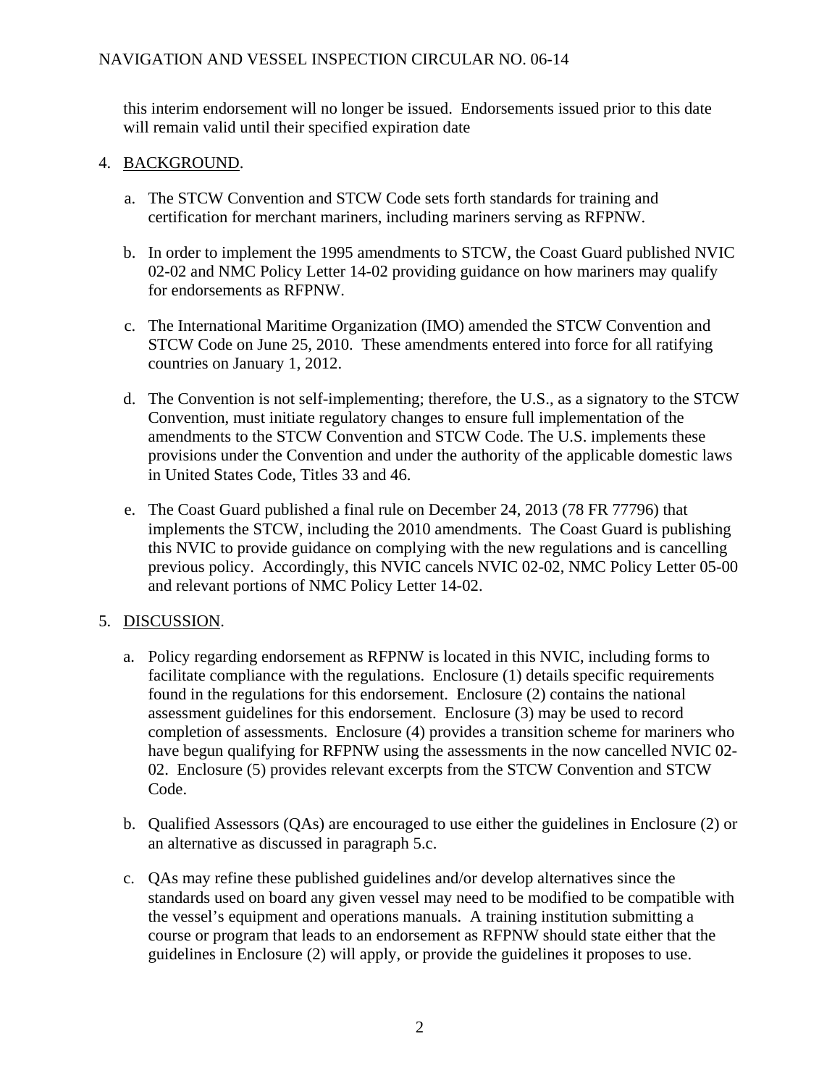# NAVIGATION AND VESSEL INSPECTION CIRCULAR NO. 06-14

this interim endorsement will no longer be issued. Endorsements issued prior to this date will remain valid until their specified expiration date

### 4. BACKGROUND.

- a. The STCW Convention and STCW Code sets forth standards for training and certification for merchant mariners, including mariners serving as RFPNW.
- b. In order to implement the 1995 amendments to STCW, the Coast Guard published NVIC 02-02 and NMC Policy Letter 14-02 providing guidance on how mariners may qualify for endorsements as RFPNW.
- c. The International Maritime Organization (IMO) amended the STCW Convention and STCW Code on June 25, 2010. These amendments entered into force for all ratifying countries on January 1, 2012.
- d. The Convention is not self-implementing; therefore, the U.S., as a signatory to the STCW Convention, must initiate regulatory changes to ensure full implementation of the amendments to the STCW Convention and STCW Code. The U.S. implements these provisions under the Convention and under the authority of the applicable domestic laws in United States Code, Titles 33 and 46.
- e. The Coast Guard published a final rule on December 24, 2013 (78 FR 77796) that implements the STCW, including the 2010 amendments. The Coast Guard is publishing this NVIC to provide guidance on complying with the new regulations and is cancelling previous policy. Accordingly, this NVIC cancels NVIC 02-02, NMC Policy Letter 05-00 and relevant portions of NMC Policy Letter 14-02.

# 5. DISCUSSION.

- a. Policy regarding endorsement as RFPNW is located in this NVIC, including forms to facilitate compliance with the regulations. Enclosure (1) details specific requirements found in the regulations for this endorsement. Enclosure (2) contains the national assessment guidelines for this endorsement. Enclosure (3) may be used to record completion of assessments. Enclosure (4) provides a transition scheme for mariners who have begun qualifying for RFPNW using the assessments in the now cancelled NVIC 02- 02. Enclosure (5) provides relevant excerpts from the STCW Convention and STCW Code.
- b. Qualified Assessors (QAs) are encouraged to use either the guidelines in Enclosure (2) or an alternative as discussed in paragraph 5.c.
- c. QAs may refine these published guidelines and/or develop alternatives since the standards used on board any given vessel may need to be modified to be compatible with the vessel's equipment and operations manuals. A training institution submitting a course or program that leads to an endorsement as RFPNW should state either that the guidelines in Enclosure (2) will apply, or provide the guidelines it proposes to use.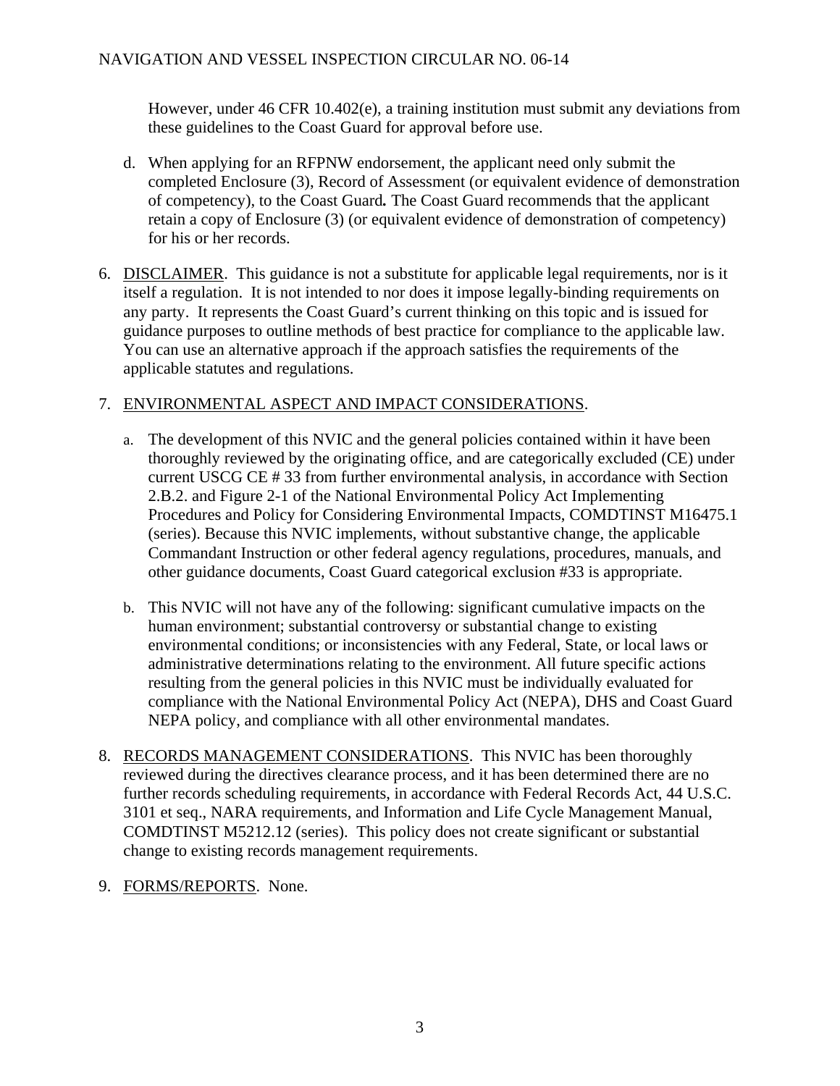However, under 46 CFR 10.402(e), a training institution must submit any deviations from these guidelines to the Coast Guard for approval before use.

- d. When applying for an RFPNW endorsement, the applicant need only submit the completed Enclosure (3), Record of Assessment (or equivalent evidence of demonstration of competency), to the Coast Guard*.* The Coast Guard recommends that the applicant retain a copy of Enclosure (3) (or equivalent evidence of demonstration of competency) for his or her records.
- 6. DISCLAIMER. This guidance is not a substitute for applicable legal requirements, nor is it itself a regulation. It is not intended to nor does it impose legally-binding requirements on any party. It represents the Coast Guard's current thinking on this topic and is issued for guidance purposes to outline methods of best practice for compliance to the applicable law. You can use an alternative approach if the approach satisfies the requirements of the applicable statutes and regulations.

# 7. ENVIRONMENTAL ASPECT AND IMPACT CONSIDERATIONS.

- a. The development of this NVIC and the general policies contained within it have been thoroughly reviewed by the originating office, and are categorically excluded (CE) under current USCG CE # 33 from further environmental analysis, in accordance with Section 2.B.2. and Figure 2-1 of the National Environmental Policy Act Implementing Procedures and Policy for Considering Environmental Impacts, COMDTINST M16475.1 (series). Because this NVIC implements, without substantive change, the applicable Commandant Instruction or other federal agency regulations, procedures, manuals, and other guidance documents, Coast Guard categorical exclusion #33 is appropriate.
- b. This NVIC will not have any of the following: significant cumulative impacts on the human environment; substantial controversy or substantial change to existing environmental conditions; or inconsistencies with any Federal, State, or local laws or administrative determinations relating to the environment. All future specific actions resulting from the general policies in this NVIC must be individually evaluated for compliance with the National Environmental Policy Act (NEPA), DHS and Coast Guard NEPA policy, and compliance with all other environmental mandates.
- 8. RECORDS MANAGEMENT CONSIDERATIONS. This NVIC has been thoroughly reviewed during the directives clearance process, and it has been determined there are no further records scheduling requirements, in accordance with Federal Records Act, 44 U.S.C. 3101 et seq., NARA requirements, and Information and Life Cycle Management Manual, COMDTINST M5212.12 (series). This policy does not create significant or substantial change to existing records management requirements.
- 9. FORMS/REPORTS. None.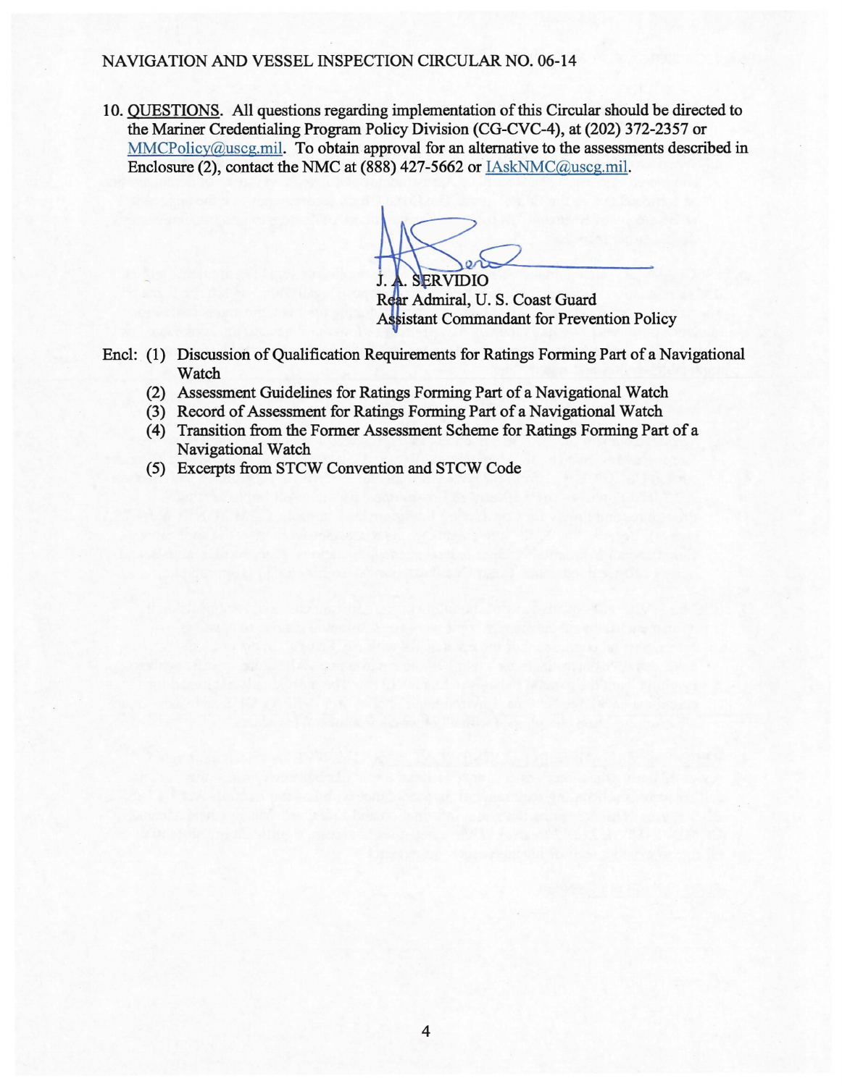#### NAVIGATION AND VESSEL INSPECTION CIRCULAR NO. 06-14

10. QUESTIONS. All questions regarding implementation of this Circular should be directed to the Mariner Credentialing Program Policy Division (CG-CVC-4), at (202) 372-2357 or MMCPolicy@uscg.mil. To obtain approval for an alternative to the assessments described in Enclosure (2), contact the NMC at (888) 427-5662 or IAskNMC@uscg.mil.

 $\searrow$ 

. SERVIDIO Admiral, U. S. Coast Guard Assistant Commandant for Prevention Policy

- Encl: (1) Discussion of Qualification Requirements for Ratings Forming Part of a Navigational Watch
	- (2) Assessment Guidelines for Ratings Forming Part of a Navigational Watch
	- (3) Record of Assessment for Ratings Forming Part of a Navigational Watch
	- (4) Transition from the Former Assessment Scheme for Ratings Forming Part of a Navigational Watch
	- (5) Excerpts from STCW Convention and STCW Code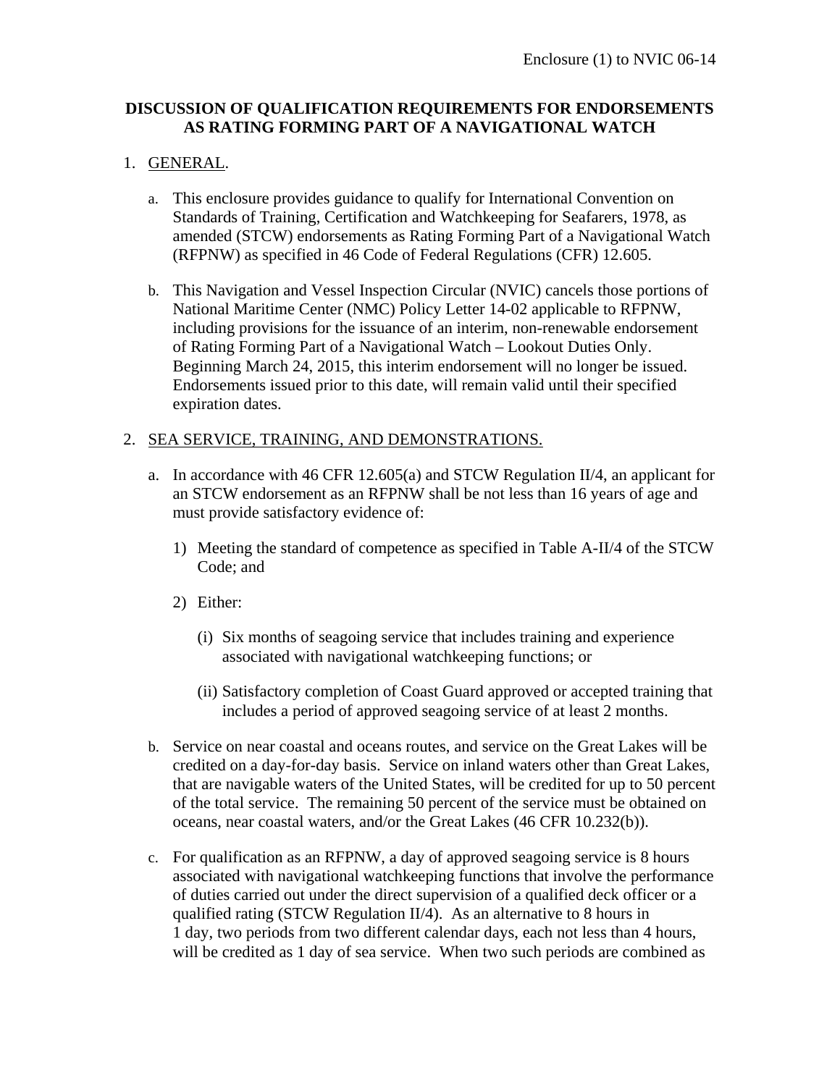# **DISCUSSION OF QUALIFICATION REQUIREMENTS FOR ENDORSEMENTS AS RATING FORMING PART OF A NAVIGATIONAL WATCH**

# 1. GENERAL.

- a. This enclosure provides guidance to qualify for International Convention on Standards of Training, Certification and Watchkeeping for Seafarers, 1978, as amended (STCW) endorsements as Rating Forming Part of a Navigational Watch (RFPNW) as specified in 46 Code of Federal Regulations (CFR) 12.605.
- b. This Navigation and Vessel Inspection Circular (NVIC) cancels those portions of National Maritime Center (NMC) Policy Letter 14-02 applicable to RFPNW, including provisions for the issuance of an interim, non-renewable endorsement of Rating Forming Part of a Navigational Watch – Lookout Duties Only. Beginning March 24, 2015, this interim endorsement will no longer be issued. Endorsements issued prior to this date, will remain valid until their specified expiration dates.

### 2. SEA SERVICE, TRAINING, AND DEMONSTRATIONS.

- a. In accordance with 46 CFR 12.605(a) and STCW Regulation II/4, an applicant for an STCW endorsement as an RFPNW shall be not less than 16 years of age and must provide satisfactory evidence of:
	- 1) Meeting the standard of competence as specified in Table A-II/4 of the STCW Code; and
	- 2) Either:
		- (i) Six months of seagoing service that includes training and experience associated with navigational watchkeeping functions; or
		- (ii) Satisfactory completion of Coast Guard approved or accepted training that includes a period of approved seagoing service of at least 2 months.
- b. Service on near coastal and oceans routes, and service on the Great Lakes will be credited on a day-for-day basis. Service on inland waters other than Great Lakes, that are navigable waters of the United States, will be credited for up to 50 percent of the total service. The remaining 50 percent of the service must be obtained on oceans, near coastal waters, and/or the Great Lakes (46 CFR 10.232(b)).
- c. For qualification as an RFPNW, a day of approved seagoing service is 8 hours associated with navigational watchkeeping functions that involve the performance of duties carried out under the direct supervision of a qualified deck officer or a qualified rating (STCW Regulation II/4). As an alternative to 8 hours in 1 day, two periods from two different calendar days, each not less than 4 hours, will be credited as 1 day of sea service. When two such periods are combined as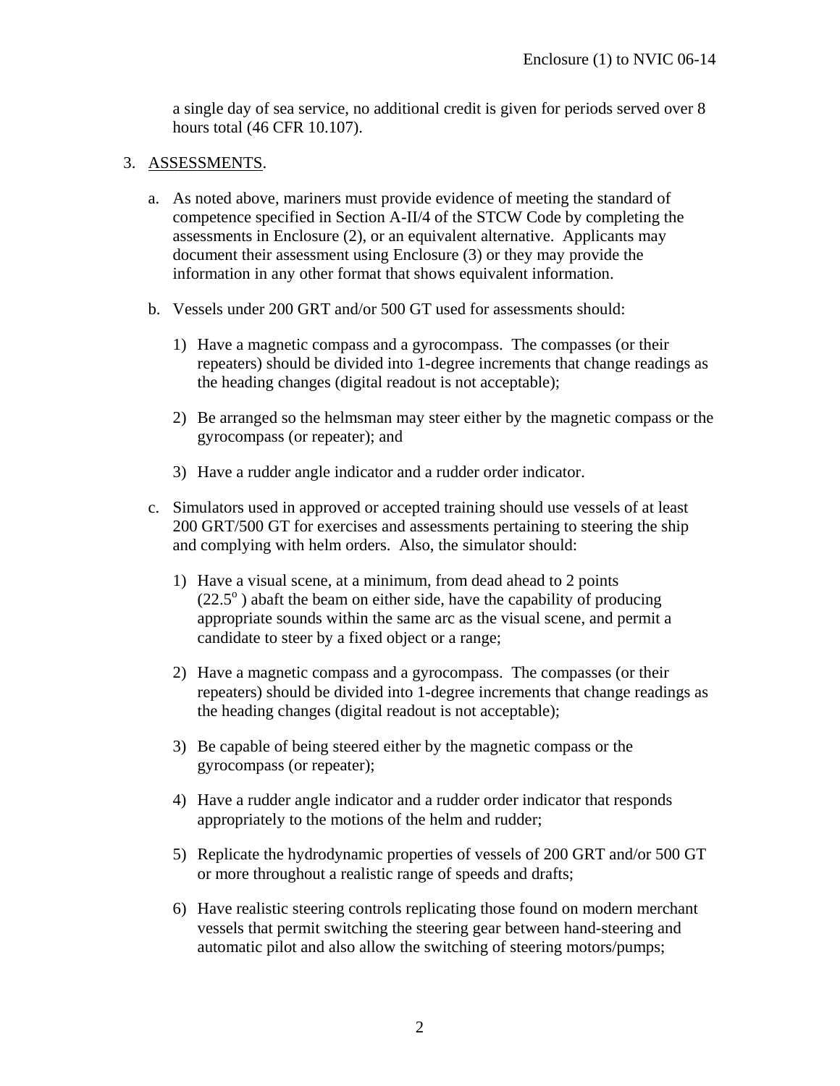a single day of sea service, no additional credit is given for periods served over 8 hours total (46 CFR 10.107).

#### 3. ASSESSMENTS.

- a. As noted above, mariners must provide evidence of meeting the standard of competence specified in Section A-II/4 of the STCW Code by completing the assessments in Enclosure (2), or an equivalent alternative. Applicants may document their assessment using Enclosure (3) or they may provide the information in any other format that shows equivalent information.
- b. Vessels under 200 GRT and/or 500 GT used for assessments should:
	- 1) Have a magnetic compass and a gyrocompass. The compasses (or their repeaters) should be divided into 1-degree increments that change readings as the heading changes (digital readout is not acceptable);
	- 2) Be arranged so the helmsman may steer either by the magnetic compass or the gyrocompass (or repeater); and
	- 3) Have a rudder angle indicator and a rudder order indicator.
- c. Simulators used in approved or accepted training should use vessels of at least 200 GRT/500 GT for exercises and assessments pertaining to steering the ship and complying with helm orders. Also, the simulator should:
	- 1) Have a visual scene, at a minimum, from dead ahead to 2 points  $(22.5^{\circ})$  abaft the beam on either side, have the capability of producing appropriate sounds within the same arc as the visual scene, and permit a candidate to steer by a fixed object or a range;
	- 2) Have a magnetic compass and a gyrocompass. The compasses (or their repeaters) should be divided into 1-degree increments that change readings as the heading changes (digital readout is not acceptable);
	- 3) Be capable of being steered either by the magnetic compass or the gyrocompass (or repeater);
	- 4) Have a rudder angle indicator and a rudder order indicator that responds appropriately to the motions of the helm and rudder;
	- 5) Replicate the hydrodynamic properties of vessels of 200 GRT and/or 500 GT or more throughout a realistic range of speeds and drafts;
	- 6) Have realistic steering controls replicating those found on modern merchant vessels that permit switching the steering gear between hand-steering and automatic pilot and also allow the switching of steering motors/pumps;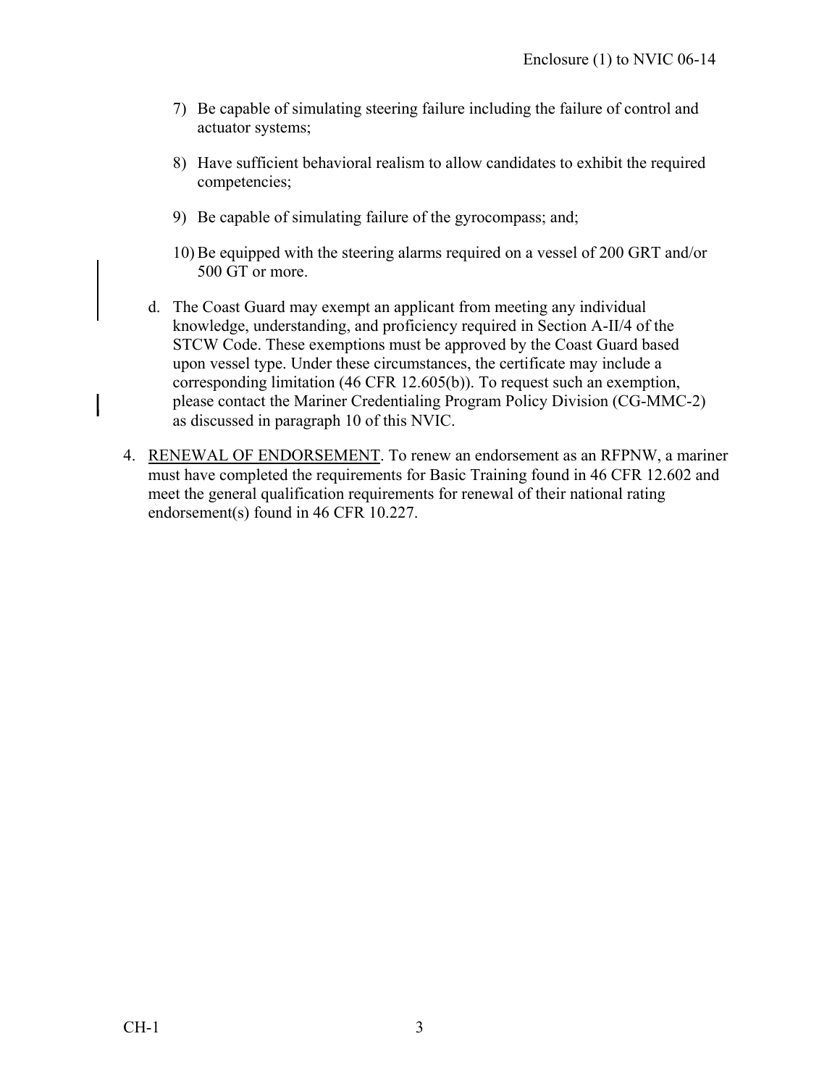- 7) Be capable of simulating steering failure including the failure of control and actuator systems;
- 8) Have sufficient behavioral realism to allow candidates to exhibit the required competencies;
- 9) Be capable of simulating failure of the gyrocompass; and;
- 10) Be equipped with the steering alarms required on a vessel of 200 GRT and/or 500 GT or more.
- d. The Coast Guard may exempt an applicant from meeting any individual knowledge, understanding, and proficiency required in Section A-II/4 of the STCW Code. These exemptions must be approved by the Coast Guard based upon vessel type. Under these circumstances, the certificate may include a corresponding limitation (46 CFR 12.605(b)). To request such an exemption, please contact the Mariner Credentialing Program Policy Division (CG-MMC-2) as discussed in paragraph 10 of this NVIC.
- 4. RENEWAL OF ENDORSEMENT. To renew an endorsement as an RFPNW, a mariner must have completed the requirements for Basic Training found in 46 CFR 12.602 and meet the general qualification requirements for renewal of their national rating endorsement(s) found in 46 CFR 10.227.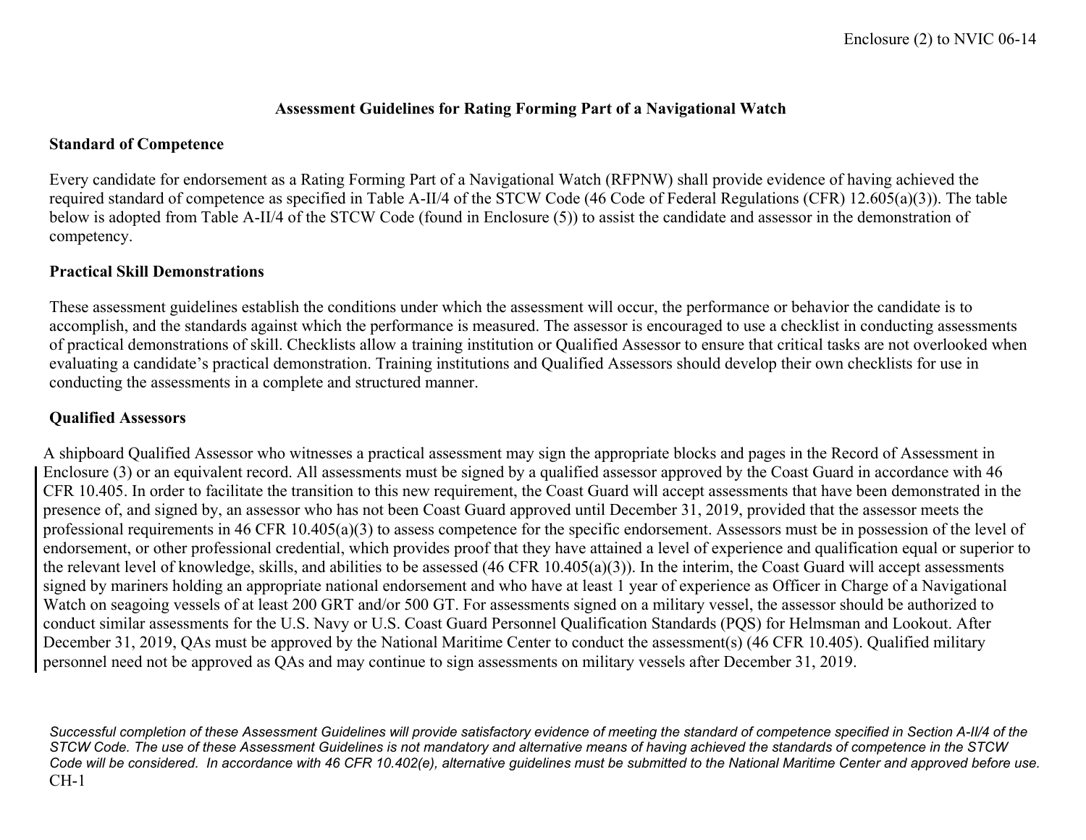#### **Assessment Guidelines for Rating Forming Part of a Navigational Watch**

#### **Standard of Competence**

Every candidate for endorsement as a Rating Forming Part of a Navigational Watch (RFPNW) shall provide evidence of having achieved the required standard of competence as specified in Table A-II/4 of the STCW Code (46 Code of Federal Regulations (CFR) 12.605(a)(3)). The table below is adopted from Table A-II/4 of the STCW Code (found in Enclosure (5)) to assist the candidate and assessor in the demonstration of competency.

#### **Practical Skill Demonstrations**

These assessment guidelines establish the conditions under which the assessment will occur, the performance or behavior the candidate is to accomplish, and the standards against which the performance is measured. The assessor is encouraged to use a checklist in conducting assessments of practical demonstrations of skill. Checklists allow a training institution or Qualified Assessor to ensure that critical tasks are not overlooked when evaluating a candidate's practical demonstration. Training institutions and Qualified Assessors should develop their own checklists for use in conducting the assessments in a complete and structured manner.

# **Qualified Assessors**

A shipboard Qualified Assessor who witnesses a practical assessment may sign the appropriate blocks and pages in the Record of Assessment in Enclosure (3) or an equivalent record. All assessments must be signed by a qualified assessor approved by the Coast Guard in accordance with 46 CFR 10.405. In order to facilitate the transition to this new requirement, the Coast Guard will accept assessments that have been demonstrated in the presence of, and signed by, an assessor who has not been Coast Guard approved until December 31, 2019, provided that the assessor meets the professional requirements in 46 CFR 10.405(a)(3) to assess competence for the specific endorsement. Assessors must be in possession of the level of endorsement, or other professional credential, which provides proof that they have attained a level of experience and qualification equal or superior to the relevant level of knowledge, skills, and abilities to be assessed (46 CFR 10.405(a)(3)). In the interim, the Coast Guard will accept assessments signed by mariners holding an appropriate national endorsement and who have at least 1 year of experience as Officer in Charge of a Navigational Watch on seagoing vessels of at least 200 GRT and/or 500 GT. For assessments signed on a military vessel, the assessor should be authorized to conduct similar assessments for the U.S. Navy or U.S. Coast Guard Personnel Qualification Standards (PQS) for Helmsman and Lookout. After December 31, 2019, QAs must be approved by the National Maritime Center to conduct the assessment(s) (46 CFR 10.405). Qualified military personnel need not be approved as QAs and may continue to sign assessments on military vessels after December 31, 2019.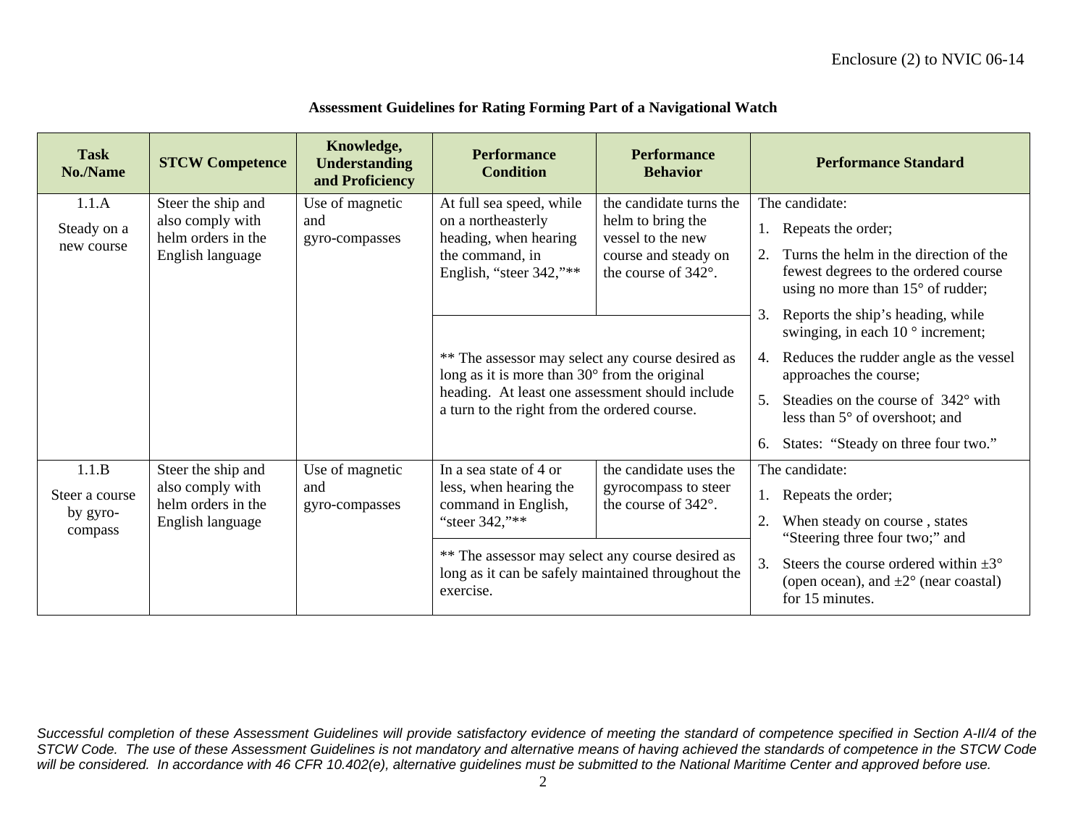| <b>Task</b><br>No./Name | <b>STCW Competence</b>                                                                                              | Knowledge,<br><b>Understanding</b><br>and Proficiency | <b>Performance</b><br><b>Condition</b>                                                            | <b>Performance</b><br><b>Behavior</b>               |                                                                                                                         | <b>Performance Standard</b>                                                                                                  |
|-------------------------|---------------------------------------------------------------------------------------------------------------------|-------------------------------------------------------|---------------------------------------------------------------------------------------------------|-----------------------------------------------------|-------------------------------------------------------------------------------------------------------------------------|------------------------------------------------------------------------------------------------------------------------------|
| 1.1.A                   | Steer the ship and                                                                                                  | Use of magnetic                                       | At full sea speed, while                                                                          | the candidate turns the                             |                                                                                                                         | The candidate:                                                                                                               |
| Steady on a             | also comply with<br>helm orders in the                                                                              | and<br>gyro-compasses                                 | on a northeasterly<br>heading, when hearing                                                       | helm to bring the<br>vessel to the new              | 1.                                                                                                                      | Repeats the order;                                                                                                           |
| new course              | English language                                                                                                    |                                                       | the command, in<br>English, "steer 342,"**                                                        | course and steady on<br>the course of 342°.         | 2.                                                                                                                      | Turns the helm in the direction of the<br>fewest degrees to the ordered course<br>using no more than $15^{\circ}$ of rudder; |
|                         |                                                                                                                     |                                                       |                                                                                                   |                                                     | 3.                                                                                                                      | Reports the ship's heading, while<br>swinging, in each $10^{\circ}$ increment;                                               |
|                         |                                                                                                                     |                                                       | ** The assessor may select any course desired as<br>long as it is more than 30° from the original |                                                     | 4.                                                                                                                      | Reduces the rudder angle as the vessel<br>approaches the course;                                                             |
|                         |                                                                                                                     |                                                       | heading. At least one assessment should include<br>a turn to the right from the ordered course.   |                                                     | 5.                                                                                                                      | Steadies on the course of 342° with<br>less than 5° of overshoot; and                                                        |
|                         |                                                                                                                     |                                                       |                                                                                                   |                                                     | 6.                                                                                                                      | States: "Steady on three four two."                                                                                          |
| 1.1.B                   | Steer the ship and                                                                                                  | Use of magnetic                                       | In a sea state of 4 or                                                                            | the candidate uses the                              |                                                                                                                         | The candidate:                                                                                                               |
| Steer a course          | also comply with<br>helm orders in the                                                                              | and<br>gyro-compasses                                 | less, when hearing the<br>command in English,                                                     | gyrocompass to steer<br>the course of $342^\circ$ . | 1.                                                                                                                      | Repeats the order;                                                                                                           |
| by gyro-<br>compass     | English language                                                                                                    |                                                       | "steer 342,"**                                                                                    |                                                     | 2.                                                                                                                      | When steady on course, states<br>"Steering three four two;" and                                                              |
|                         | ** The assessor may select any course desired as<br>long as it can be safely maintained throughout the<br>exercise. |                                                       |                                                                                                   | 3.                                                  | Steers the course ordered within $\pm 3^{\circ}$<br>(open ocean), and $\pm 2^{\circ}$ (near coastal)<br>for 15 minutes. |                                                                                                                              |

#### **Assessment Guidelines for Rating Forming Part of a Navigational Watch**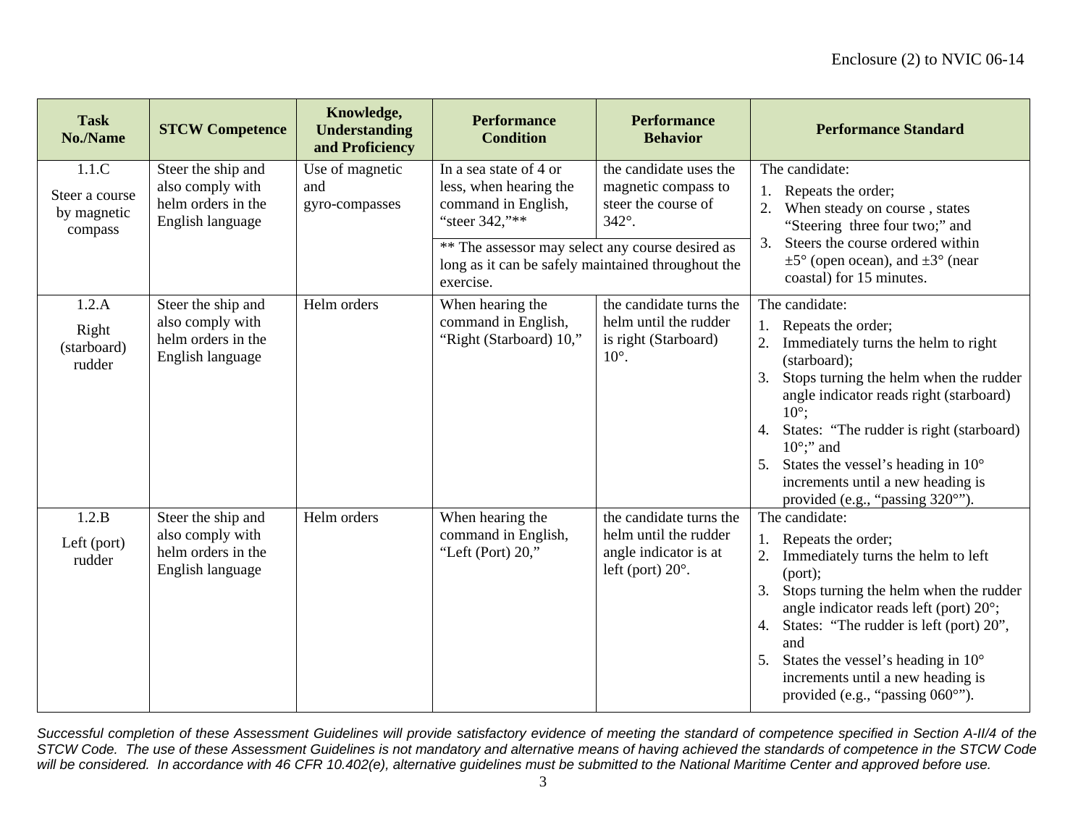| <b>Task</b><br>No./Name                           | <b>STCW Competence</b>                                                           | Knowledge,<br><b>Understanding</b><br>and Proficiency | <b>Performance</b><br><b>Condition</b>                                                                                                                                                                           | <b>Performance</b><br><b>Behavior</b>                                                                 | <b>Performance Standard</b>                                                                                                                                                                                                                                                                                                                                                                           |
|---------------------------------------------------|----------------------------------------------------------------------------------|-------------------------------------------------------|------------------------------------------------------------------------------------------------------------------------------------------------------------------------------------------------------------------|-------------------------------------------------------------------------------------------------------|-------------------------------------------------------------------------------------------------------------------------------------------------------------------------------------------------------------------------------------------------------------------------------------------------------------------------------------------------------------------------------------------------------|
| 1.1.C<br>Steer a course<br>by magnetic<br>compass | Steer the ship and<br>also comply with<br>helm orders in the<br>English language | Use of magnetic<br>and<br>gyro-compasses              | In a sea state of 4 or<br>less, when hearing the<br>command in English,<br>"steer 342,"**<br>** The assessor may select any course desired as<br>long as it can be safely maintained throughout the<br>exercise. | the candidate uses the<br>magnetic compass to<br>steer the course of<br>342°.                         | The candidate:<br>Repeats the order;<br>When steady on course, states<br>"Steering three four two;" and<br>3.<br>Steers the course ordered within<br>$\pm 5^{\circ}$ (open ocean), and $\pm 3^{\circ}$ (near<br>coastal) for 15 minutes.                                                                                                                                                              |
| 1.2.A<br>Right<br>(starboard)<br>rudder           | Steer the ship and<br>also comply with<br>helm orders in the<br>English language | Helm orders                                           | When hearing the<br>command in English,<br>"Right (Starboard) 10,"                                                                                                                                               | the candidate turns the<br>helm until the rudder<br>is right (Starboard)<br>$10^\circ$ .              | The candidate:<br>Repeats the order;<br>Immediately turns the helm to right<br>(starboard);<br>Stops turning the helm when the rudder<br>angle indicator reads right (starboard)<br>$10^\circ$ :<br>States: "The rudder is right (starboard)<br>4.<br>$10^\circ$ ;" and<br>States the vessel's heading in $10^{\circ}$<br>5.<br>increments until a new heading is<br>provided (e.g., "passing 320°"). |
| 1.2.B<br>Left (port)<br>rudder                    | Steer the ship and<br>also comply with<br>helm orders in the<br>English language | Helm orders                                           | When hearing the<br>command in English,<br>"Left (Port) $20$ ,"                                                                                                                                                  | the candidate turns the<br>helm until the rudder<br>angle indicator is at<br>left (port) $20^\circ$ . | The candidate:<br>Repeats the order;<br>Immediately turns the helm to left<br>(port);<br>Stops turning the helm when the rudder<br>3.<br>angle indicator reads left (port) 20°;<br>States: "The rudder is left (port) 20",<br>4.<br>and<br>States the vessel's heading in 10°<br>5.<br>increments until a new heading is<br>provided (e.g., "passing 060°").                                          |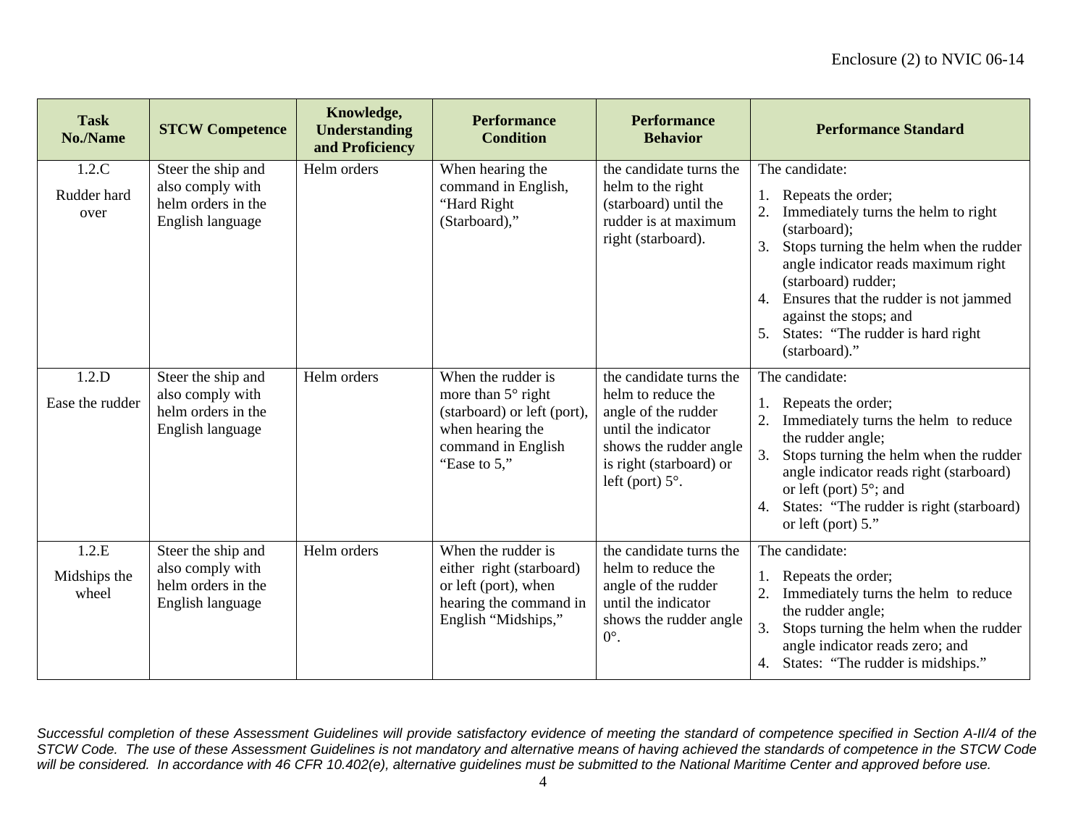| <b>Task</b><br>No./Name        | <b>STCW Competence</b>                                                           | Knowledge,<br><b>Understanding</b><br>and Proficiency | <b>Performance</b><br><b>Condition</b>                                                                                                   | <b>Performance</b><br><b>Behavior</b>                                                                                                                                       | <b>Performance Standard</b>                                                                                                                                                                                                                                                                                                              |
|--------------------------------|----------------------------------------------------------------------------------|-------------------------------------------------------|------------------------------------------------------------------------------------------------------------------------------------------|-----------------------------------------------------------------------------------------------------------------------------------------------------------------------------|------------------------------------------------------------------------------------------------------------------------------------------------------------------------------------------------------------------------------------------------------------------------------------------------------------------------------------------|
| 1.2.C<br>Rudder hard<br>over   | Steer the ship and<br>also comply with<br>helm orders in the<br>English language | Helm orders                                           | When hearing the<br>command in English,<br>"Hard Right<br>(Starboard),"                                                                  | the candidate turns the<br>helm to the right<br>(starboard) until the<br>rudder is at maximum<br>right (starboard).                                                         | The candidate:<br>Repeats the order;<br>Immediately turns the helm to right<br>(starboard);<br>3.<br>Stops turning the helm when the rudder<br>angle indicator reads maximum right<br>(starboard) rudder;<br>Ensures that the rudder is not jammed<br>4.<br>against the stops; and<br>States: "The rudder is hard right<br>(starboard)." |
| 1.2.D<br>Ease the rudder       | Steer the ship and<br>also comply with<br>helm orders in the<br>English language | Helm orders                                           | When the rudder is<br>more than $5^\circ$ right<br>(starboard) or left (port),<br>when hearing the<br>command in English<br>"Ease to 5," | the candidate turns the<br>helm to reduce the<br>angle of the rudder<br>until the indicator<br>shows the rudder angle<br>is right (starboard) or<br>left (port) $5^\circ$ . | The candidate:<br>Repeats the order;<br>Immediately turns the helm to reduce<br>the rudder angle;<br>Stops turning the helm when the rudder<br>angle indicator reads right (starboard)<br>or left (port) $5^\circ$ ; and<br>States: "The rudder is right (starboard)<br>4.<br>or left (port) $5$ ."                                      |
| 1.2.E<br>Midships the<br>wheel | Steer the ship and<br>also comply with<br>helm orders in the<br>English language | Helm orders                                           | When the rudder is<br>either right (starboard)<br>or left (port), when<br>hearing the command in<br>English "Midships,"                  | the candidate turns the<br>helm to reduce the<br>angle of the rudder<br>until the indicator<br>shows the rudder angle<br>$0^{\circ}$ .                                      | The candidate:<br>Repeats the order;<br>Immediately turns the helm to reduce<br>the rudder angle;<br>Stops turning the helm when the rudder<br>3.<br>angle indicator reads zero; and<br>States: "The rudder is midships."<br>4.                                                                                                          |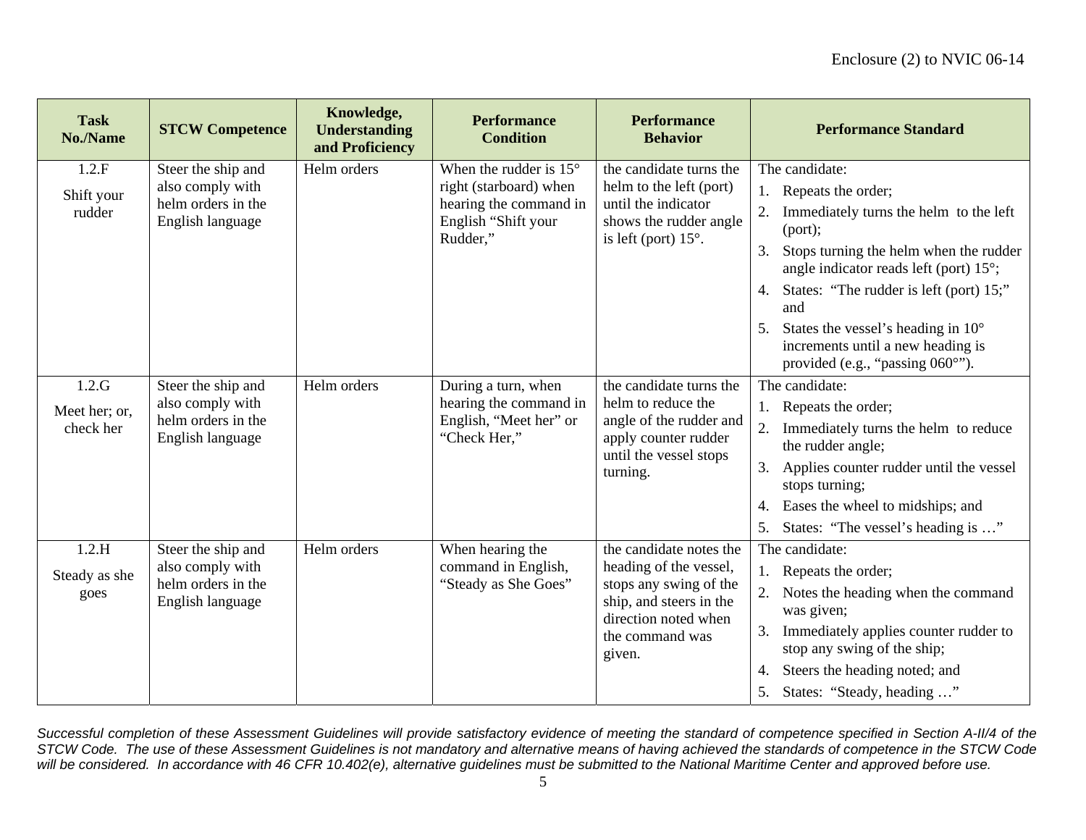| <b>Task</b><br>No./Name             | <b>STCW Competence</b>                                                           | Knowledge,<br><b>Understanding</b><br>and Proficiency | <b>Performance</b><br><b>Condition</b>                                                                                 | <b>Performance</b><br><b>Behavior</b>                                                                                                                       | <b>Performance Standard</b>                                                                                                                                                                                                                                                                                                                                                  |
|-------------------------------------|----------------------------------------------------------------------------------|-------------------------------------------------------|------------------------------------------------------------------------------------------------------------------------|-------------------------------------------------------------------------------------------------------------------------------------------------------------|------------------------------------------------------------------------------------------------------------------------------------------------------------------------------------------------------------------------------------------------------------------------------------------------------------------------------------------------------------------------------|
| 1.2.F<br>Shift your<br>rudder       | Steer the ship and<br>also comply with<br>helm orders in the<br>English language | Helm orders                                           | When the rudder is $15^{\circ}$<br>right (starboard) when<br>hearing the command in<br>English "Shift your<br>Rudder," | the candidate turns the<br>helm to the left (port)<br>until the indicator<br>shows the rudder angle<br>is left (port) $15^\circ$ .                          | The candidate:<br>1. Repeats the order;<br>Immediately turns the helm to the left<br>2.<br>(port);<br>Stops turning the helm when the rudder<br>3.<br>angle indicator reads left (port) 15°;<br>States: "The rudder is left (port) 15;"<br>4.<br>and<br>States the vessel's heading in $10^{\circ}$<br>increments until a new heading is<br>provided (e.g., "passing 060°"). |
| 1.2.G<br>Meet her; or,<br>check her | Steer the ship and<br>also comply with<br>helm orders in the<br>English language | Helm orders                                           | During a turn, when<br>hearing the command in<br>English, "Meet her" or<br>"Check Her,"                                | the candidate turns the<br>helm to reduce the<br>angle of the rudder and<br>apply counter rudder<br>until the vessel stops<br>turning.                      | The candidate:<br>1. Repeats the order;<br>Immediately turns the helm to reduce<br>the rudder angle;<br>3.<br>Applies counter rudder until the vessel<br>stops turning;<br>Eases the wheel to midships; and<br>4.<br>States: "The vessel's heading is "<br>5.                                                                                                                |
| 1.2.H<br>Steady as she<br>goes      | Steer the ship and<br>also comply with<br>helm orders in the<br>English language | Helm orders                                           | When hearing the<br>command in English,<br>"Steady as She Goes"                                                        | the candidate notes the<br>heading of the vessel,<br>stops any swing of the<br>ship, and steers in the<br>direction noted when<br>the command was<br>given. | The candidate:<br>1. Repeats the order;<br>2. Notes the heading when the command<br>was given;<br>Immediately applies counter rudder to<br>stop any swing of the ship;<br>Steers the heading noted; and<br>4.<br>5.<br>States: "Steady, heading "                                                                                                                            |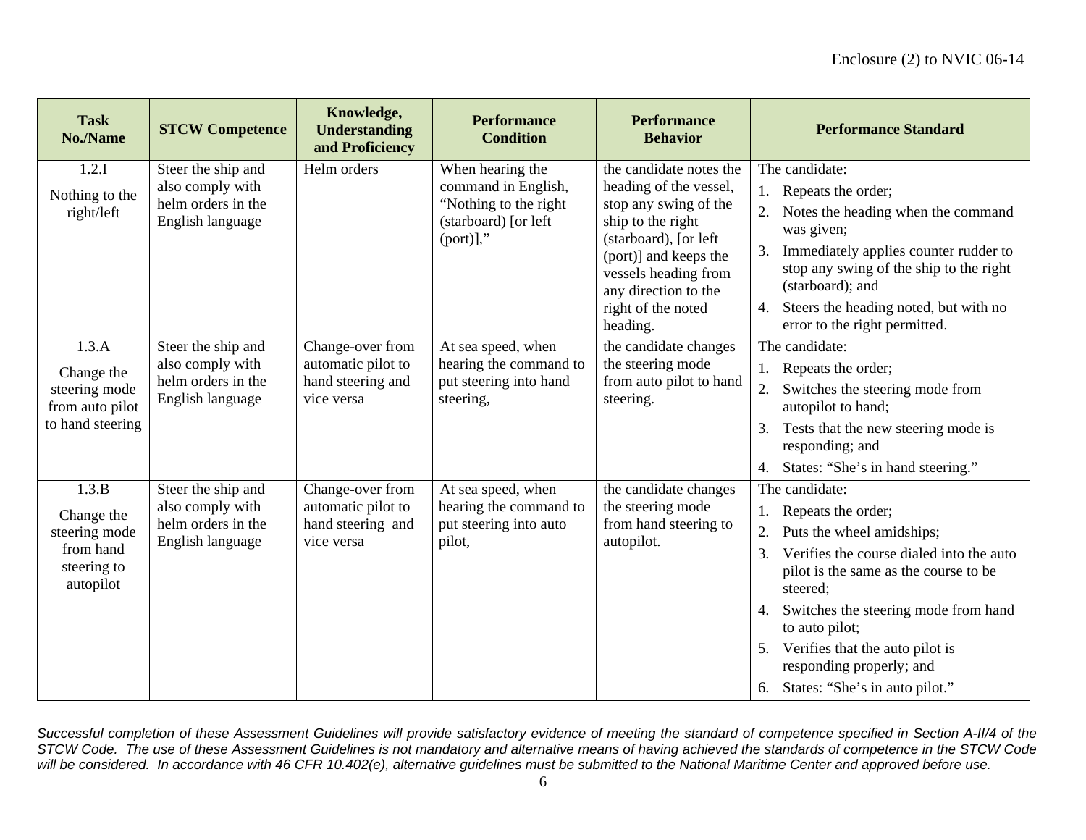| <b>Task</b><br>No./Name                                                       | <b>STCW Competence</b>                                                           | Knowledge,<br><b>Understanding</b><br>and Proficiency                     | <b>Performance</b><br><b>Condition</b>                                                                | <b>Performance</b><br><b>Behavior</b>                                                                                                                                                                                               | <b>Performance Standard</b>                                                                                                                                                                                                                                                                                                                     |
|-------------------------------------------------------------------------------|----------------------------------------------------------------------------------|---------------------------------------------------------------------------|-------------------------------------------------------------------------------------------------------|-------------------------------------------------------------------------------------------------------------------------------------------------------------------------------------------------------------------------------------|-------------------------------------------------------------------------------------------------------------------------------------------------------------------------------------------------------------------------------------------------------------------------------------------------------------------------------------------------|
| 1.2.I<br>Nothing to the<br>right/left                                         | Steer the ship and<br>also comply with<br>helm orders in the<br>English language | Helm orders                                                               | When hearing the<br>command in English,<br>"Nothing to the right"<br>(starboard) [or left<br>(port)], | the candidate notes the<br>heading of the vessel,<br>stop any swing of the<br>ship to the right<br>(starboard), [or left<br>(port)] and keeps the<br>vessels heading from<br>any direction to the<br>right of the noted<br>heading. | The candidate:<br>1. Repeats the order;<br>Notes the heading when the command<br>was given;<br>Immediately applies counter rudder to<br>3.<br>stop any swing of the ship to the right<br>(starboard); and<br>Steers the heading noted, but with no<br>4.<br>error to the right permitted.                                                       |
| 1.3.A<br>Change the<br>steering mode<br>from auto pilot<br>to hand steering   | Steer the ship and<br>also comply with<br>helm orders in the<br>English language | Change-over from<br>automatic pilot to<br>hand steering and<br>vice versa | At sea speed, when<br>hearing the command to<br>put steering into hand<br>steering,                   | the candidate changes<br>the steering mode<br>from auto pilot to hand<br>steering.                                                                                                                                                  | The candidate:<br>1. Repeats the order;<br>2.<br>Switches the steering mode from<br>autopilot to hand;<br>Tests that the new steering mode is<br>3.<br>responding; and<br>States: "She's in hand steering."<br>4.                                                                                                                               |
| 1.3.B<br>Change the<br>steering mode<br>from hand<br>steering to<br>autopilot | Steer the ship and<br>also comply with<br>helm orders in the<br>English language | Change-over from<br>automatic pilot to<br>hand steering and<br>vice versa | At sea speed, when<br>hearing the command to<br>put steering into auto<br>pilot,                      | the candidate changes<br>the steering mode<br>from hand steering to<br>autopilot.                                                                                                                                                   | The candidate:<br>Repeats the order;<br>Puts the wheel amidships;<br>Verifies the course dialed into the auto<br>3.<br>pilot is the same as the course to be<br>steered;<br>Switches the steering mode from hand<br>to auto pilot;<br>Verifies that the auto pilot is<br>5.<br>responding properly; and<br>States: "She's in auto pilot."<br>6. |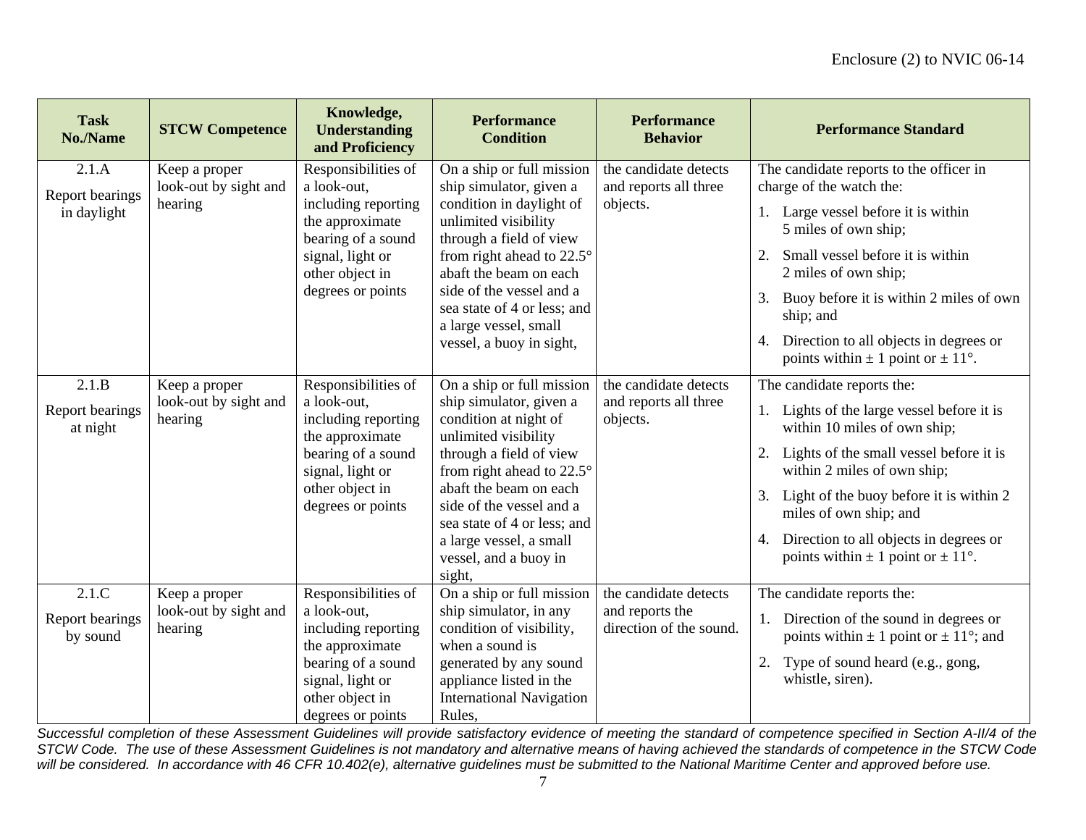| <b>Task</b><br>No./Name     | <b>STCW Competence</b>                            | Knowledge,<br><b>Understanding</b><br>and Proficiency                                           | <b>Performance</b><br><b>Condition</b>                                                                                                                                                                                          | <b>Performance</b><br><b>Behavior</b>          | <b>Performance Standard</b>                                                               |
|-----------------------------|---------------------------------------------------|-------------------------------------------------------------------------------------------------|---------------------------------------------------------------------------------------------------------------------------------------------------------------------------------------------------------------------------------|------------------------------------------------|-------------------------------------------------------------------------------------------|
| 2.1.A<br>Report bearings    | Keep a proper<br>look-out by sight and<br>hearing | Responsibilities of<br>a look-out.                                                              | On a ship or full mission<br>ship simulator, given a                                                                                                                                                                            | the candidate detects<br>and reports all three | The candidate reports to the officer in<br>charge of the watch the:                       |
| in daylight                 |                                                   | including reporting<br>the approximate<br>bearing of a sound                                    | condition in daylight of<br>unlimited visibility<br>through a field of view<br>from right ahead to $22.5^{\circ}$<br>abaft the beam on each<br>side of the vessel and a<br>sea state of 4 or less; and<br>a large vessel, small | objects.                                       | 1. Large vessel before it is within<br>5 miles of own ship;                               |
|                             |                                                   | signal, light or<br>other object in                                                             |                                                                                                                                                                                                                                 |                                                | Small vessel before it is within<br>2 miles of own ship;                                  |
|                             |                                                   | degrees or points                                                                               |                                                                                                                                                                                                                                 |                                                | Buoy before it is within 2 miles of own<br>3.<br>ship; and                                |
|                             |                                                   |                                                                                                 | vessel, a buoy in sight,                                                                                                                                                                                                        |                                                | Direction to all objects in degrees or<br>4.<br>points within $\pm$ 1 point or $\pm$ 11°. |
| 2.1.B                       | Keep a proper                                     | Responsibilities of                                                                             | On a ship or full mission                                                                                                                                                                                                       | the candidate detects                          | The candidate reports the:                                                                |
| Report bearings<br>at night | look-out by sight and<br>hearing                  | a look-out,<br>including reporting<br>the approximate<br>bearing of a sound<br>signal, light or | ship simulator, given a<br>condition at night of<br>unlimited visibility                                                                                                                                                        | and reports all three<br>objects.              | 1. Lights of the large vessel before it is<br>within 10 miles of own ship;                |
|                             |                                                   |                                                                                                 | through a field of view<br>from right ahead to $22.5^\circ$                                                                                                                                                                     |                                                | Lights of the small vessel before it is<br>within 2 miles of own ship;                    |
|                             |                                                   | other object in<br>degrees or points                                                            | abaft the beam on each<br>side of the vessel and a<br>sea state of 4 or less; and                                                                                                                                               |                                                | Light of the buoy before it is within 2<br>3.<br>miles of own ship; and                   |
|                             |                                                   |                                                                                                 | a large vessel, a small<br>vessel, and a buoy in<br>sight,                                                                                                                                                                      |                                                | Direction to all objects in degrees or<br>4.<br>points within $\pm$ 1 point or $\pm$ 11°. |
| 2.1.C                       | Keep a proper                                     | Responsibilities of                                                                             | On a ship or full mission                                                                                                                                                                                                       | the candidate detects                          | The candidate reports the:                                                                |
| Report bearings<br>by sound | look-out by sight and<br>hearing                  | a look-out.<br>including reporting<br>the approximate                                           | ship simulator, in any<br>condition of visibility,<br>when a sound is                                                                                                                                                           | and reports the<br>direction of the sound.     | 1. Direction of the sound in degrees or<br>points within $\pm$ 1 point or $\pm$ 11°; and  |
|                             |                                                   | bearing of a sound<br>signal, light or<br>other object in<br>degrees or points                  | generated by any sound<br>appliance listed in the<br><b>International Navigation</b><br>Rules.                                                                                                                                  |                                                | Type of sound heard (e.g., gong,<br>2.<br>whistle, siren).                                |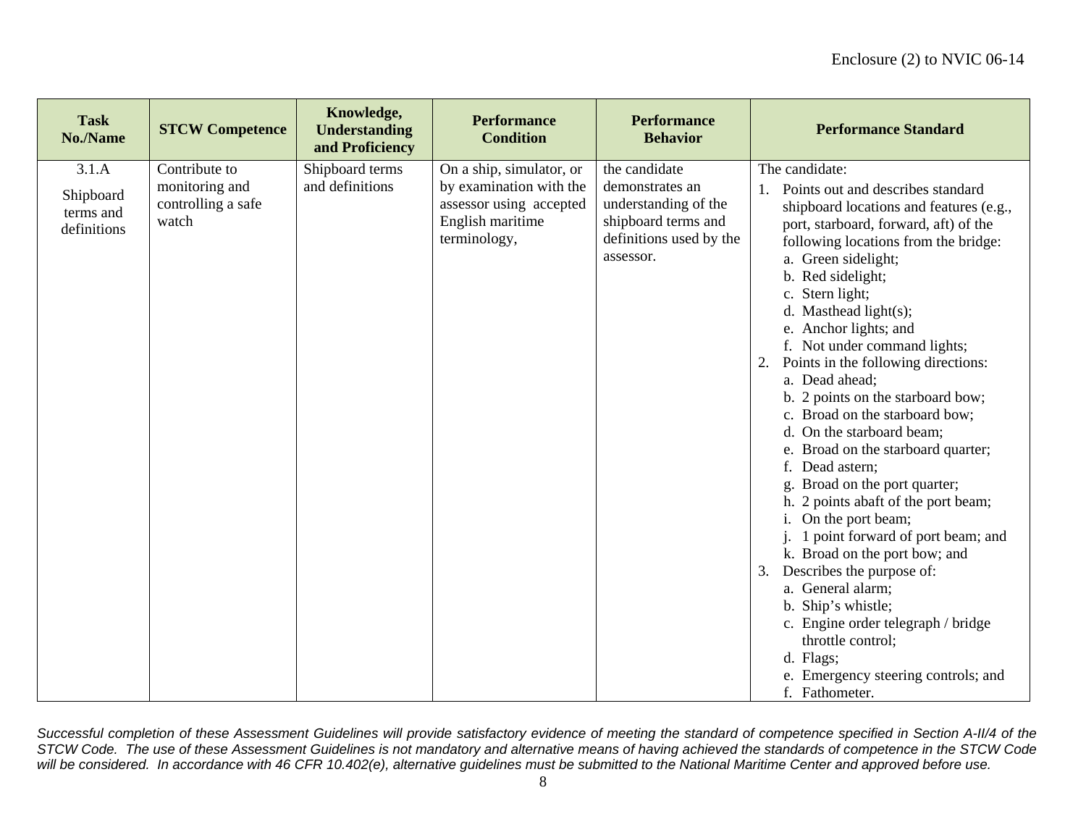| <b>Task</b><br>No./Name                        | <b>STCW Competence</b>                                         | Knowledge,<br><b>Understanding</b><br>and Proficiency | <b>Performance</b><br><b>Condition</b>                                                                             | <b>Performance</b><br><b>Behavior</b>                                                                                   | <b>Performance Standard</b>                                                                                                                                                                                                                                                                                                                                                                                                                                                                                                                                                                                                                                                                                                                                                                                                                                                                                                                                 |
|------------------------------------------------|----------------------------------------------------------------|-------------------------------------------------------|--------------------------------------------------------------------------------------------------------------------|-------------------------------------------------------------------------------------------------------------------------|-------------------------------------------------------------------------------------------------------------------------------------------------------------------------------------------------------------------------------------------------------------------------------------------------------------------------------------------------------------------------------------------------------------------------------------------------------------------------------------------------------------------------------------------------------------------------------------------------------------------------------------------------------------------------------------------------------------------------------------------------------------------------------------------------------------------------------------------------------------------------------------------------------------------------------------------------------------|
| 3.1.A<br>Shipboard<br>terms and<br>definitions | Contribute to<br>monitoring and<br>controlling a safe<br>watch | Shipboard terms<br>and definitions                    | On a ship, simulator, or<br>by examination with the<br>assessor using accepted<br>English maritime<br>terminology, | the candidate<br>demonstrates an<br>understanding of the<br>shipboard terms and<br>definitions used by the<br>assessor. | The candidate:<br>1. Points out and describes standard<br>shipboard locations and features (e.g.,<br>port, starboard, forward, aft) of the<br>following locations from the bridge:<br>a. Green sidelight;<br>b. Red sidelight;<br>c. Stern light;<br>d. Masthead light $(s)$ ;<br>e. Anchor lights; and<br>f. Not under command lights;<br>Points in the following directions:<br>2.<br>a. Dead ahead;<br>b. 2 points on the starboard bow;<br>c. Broad on the starboard bow;<br>d. On the starboard beam;<br>e. Broad on the starboard quarter;<br>f. Dead astern:<br>g. Broad on the port quarter;<br>h. 2 points abaft of the port beam;<br>i. On the port beam;<br>j. 1 point forward of port beam; and<br>k. Broad on the port bow; and<br>Describes the purpose of:<br>3.<br>a. General alarm;<br>b. Ship's whistle;<br>c. Engine order telegraph / bridge<br>throttle control;<br>d. Flags;<br>e. Emergency steering controls; and<br>f. Fathometer. |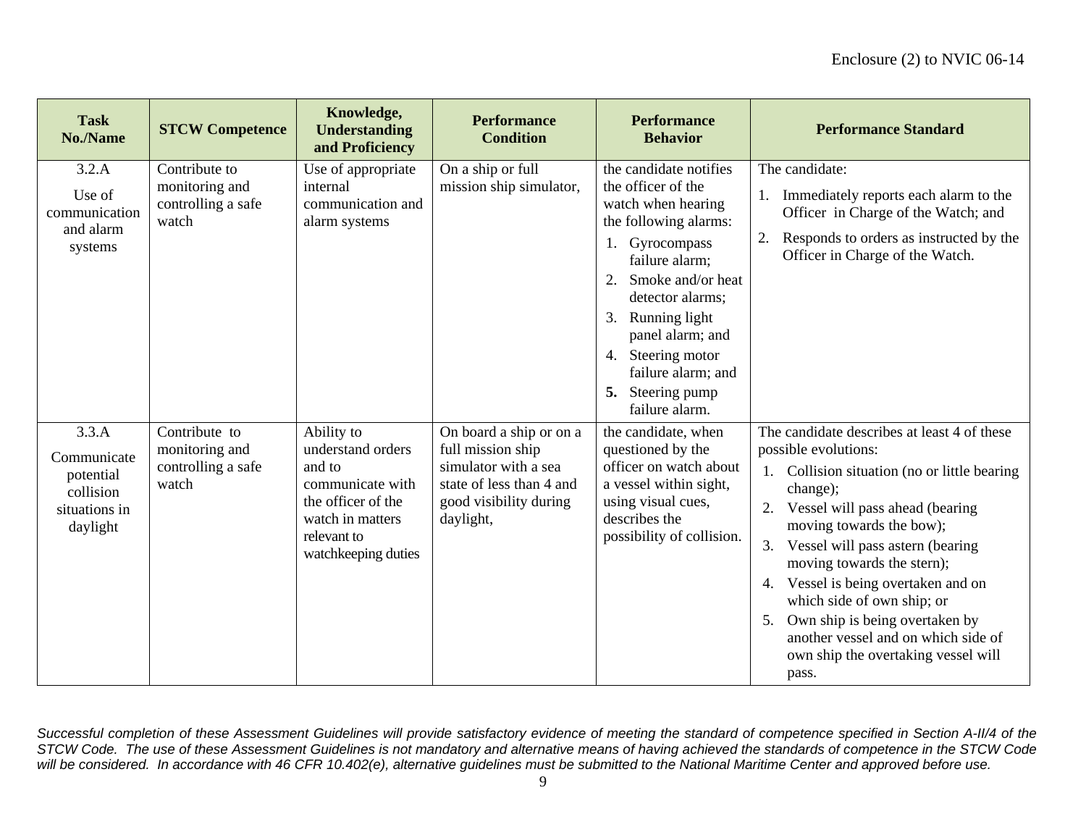| <b>Task</b><br>No./Name                                                     | <b>STCW Competence</b>                                         | Knowledge,<br><b>Understanding</b><br>and Proficiency                                                                                         | <b>Performance</b><br><b>Condition</b>                                                                                                  | <b>Performance</b><br><b>Behavior</b>                                                                                                                                                                                                                                                                            | <b>Performance Standard</b>                                                                                                                                                                                                                                                                                                                                                                                                                                                   |
|-----------------------------------------------------------------------------|----------------------------------------------------------------|-----------------------------------------------------------------------------------------------------------------------------------------------|-----------------------------------------------------------------------------------------------------------------------------------------|------------------------------------------------------------------------------------------------------------------------------------------------------------------------------------------------------------------------------------------------------------------------------------------------------------------|-------------------------------------------------------------------------------------------------------------------------------------------------------------------------------------------------------------------------------------------------------------------------------------------------------------------------------------------------------------------------------------------------------------------------------------------------------------------------------|
| 3.2.A<br>Use of<br>communication<br>and alarm<br>systems                    | Contribute to<br>monitoring and<br>controlling a safe<br>watch | Use of appropriate<br>internal<br>communication and<br>alarm systems                                                                          | On a ship or full<br>mission ship simulator,                                                                                            | the candidate notifies<br>the officer of the<br>watch when hearing<br>the following alarms:<br>Gyrocompass<br>1.<br>failure alarm;<br>Smoke and/or heat<br>2.<br>detector alarms;<br>Running light<br>3.<br>panel alarm; and<br>Steering motor<br>4.<br>failure alarm; and<br>5. Steering pump<br>failure alarm. | The candidate:<br>Immediately reports each alarm to the<br>Officer in Charge of the Watch; and<br>Responds to orders as instructed by the<br>Officer in Charge of the Watch.                                                                                                                                                                                                                                                                                                  |
| 3.3.A<br>Communicate<br>potential<br>collision<br>situations in<br>daylight | Contribute to<br>monitoring and<br>controlling a safe<br>watch | Ability to<br>understand orders<br>and to<br>communicate with<br>the officer of the<br>watch in matters<br>relevant to<br>watchkeeping duties | On board a ship or on a<br>full mission ship<br>simulator with a sea<br>state of less than 4 and<br>good visibility during<br>daylight, | the candidate, when<br>questioned by the<br>officer on watch about<br>a vessel within sight,<br>using visual cues,<br>describes the<br>possibility of collision.                                                                                                                                                 | The candidate describes at least 4 of these<br>possible evolutions:<br>1. Collision situation (no or little bearing<br>change);<br>Vessel will pass ahead (bearing<br>2.<br>moving towards the bow);<br>Vessel will pass astern (bearing<br>3.<br>moving towards the stern);<br>Vessel is being overtaken and on<br>which side of own ship; or<br>Own ship is being overtaken by<br>5.<br>another vessel and on which side of<br>own ship the overtaking vessel will<br>pass. |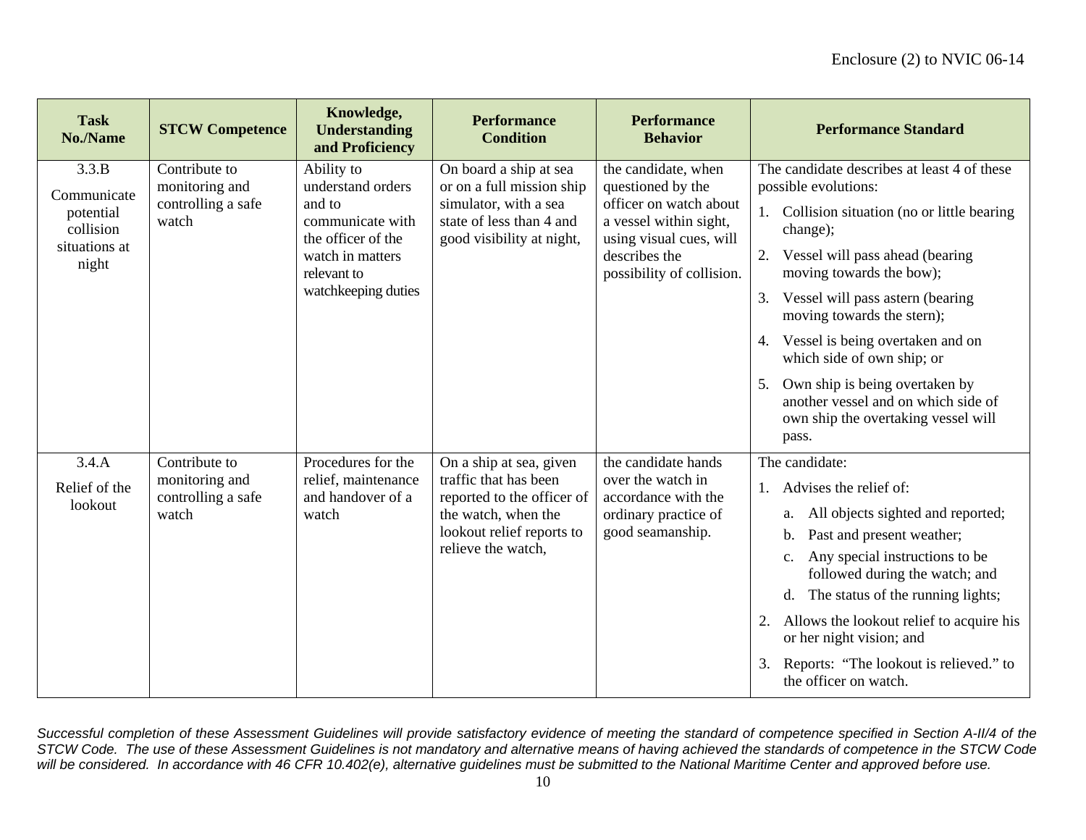| <b>Task</b><br><b>No./Name</b>                                           | <b>STCW Competence</b>                                         | Knowledge,<br><b>Understanding</b><br>and Proficiency                                                                                         | <b>Performance</b><br><b>Condition</b>                                                                                                                   | <b>Performance</b><br><b>Behavior</b>                                                                                                                                 | <b>Performance Standard</b>                                                                                                                                                                                                                                                                                                                                                                                                                                                    |
|--------------------------------------------------------------------------|----------------------------------------------------------------|-----------------------------------------------------------------------------------------------------------------------------------------------|----------------------------------------------------------------------------------------------------------------------------------------------------------|-----------------------------------------------------------------------------------------------------------------------------------------------------------------------|--------------------------------------------------------------------------------------------------------------------------------------------------------------------------------------------------------------------------------------------------------------------------------------------------------------------------------------------------------------------------------------------------------------------------------------------------------------------------------|
| 3.3.B<br>Communicate<br>potential<br>collision<br>situations at<br>night | Contribute to<br>monitoring and<br>controlling a safe<br>watch | Ability to<br>understand orders<br>and to<br>communicate with<br>the officer of the<br>watch in matters<br>relevant to<br>watchkeeping duties | On board a ship at sea<br>or on a full mission ship<br>simulator, with a sea<br>state of less than 4 and<br>good visibility at night,                    | the candidate, when<br>questioned by the<br>officer on watch about<br>a vessel within sight,<br>using visual cues, will<br>describes the<br>possibility of collision. | The candidate describes at least 4 of these<br>possible evolutions:<br>1. Collision situation (no or little bearing)<br>change);<br>Vessel will pass ahead (bearing<br>moving towards the bow);<br>Vessel will pass astern (bearing<br>3.<br>moving towards the stern);<br>Vessel is being overtaken and on<br>4.<br>which side of own ship; or<br>Own ship is being overtaken by<br>5.<br>another vessel and on which side of<br>own ship the overtaking vessel will<br>pass. |
| 3.4.A<br>Relief of the<br>lookout                                        | Contribute to<br>monitoring and<br>controlling a safe<br>watch | Procedures for the<br>relief, maintenance<br>and handover of a<br>watch                                                                       | On a ship at sea, given<br>traffic that has been<br>reported to the officer of<br>the watch, when the<br>lookout relief reports to<br>relieve the watch, | the candidate hands<br>over the watch in<br>accordance with the<br>ordinary practice of<br>good seamanship.                                                           | The candidate:<br>Advises the relief of:<br>All objects sighted and reported;<br>a.<br>Past and present weather;<br>$\mathbf{b}$ .<br>Any special instructions to be<br>c.<br>followed during the watch; and<br>d. The status of the running lights;<br>Allows the lookout relief to acquire his<br>or her night vision; and<br>Reports: "The lookout is relieved." to<br>the officer on watch.                                                                                |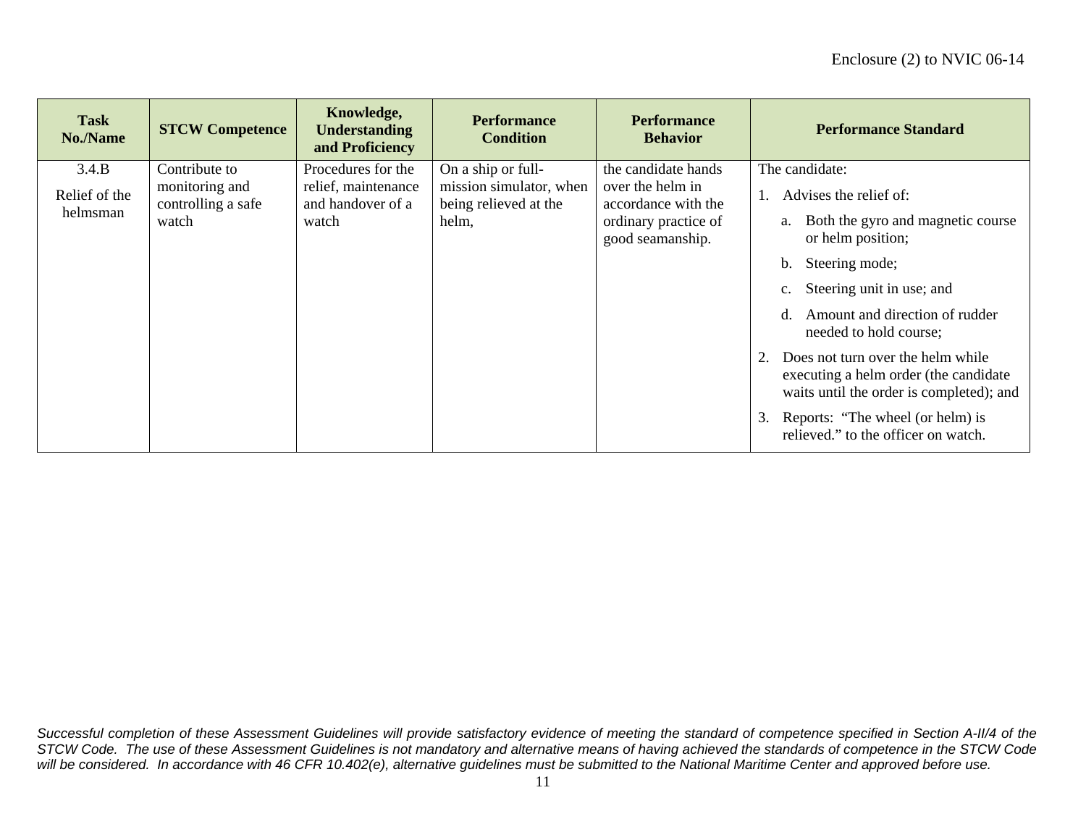| <b>Task</b><br>No./Name | <b>STCW Competence</b>               | Knowledge,<br><b>Understanding</b><br>and Proficiency | <b>Performance</b><br><b>Condition</b>           | <b>Performance</b><br><b>Behavior</b>    | <b>Performance Standard</b>                                                                                             |
|-------------------------|--------------------------------------|-------------------------------------------------------|--------------------------------------------------|------------------------------------------|-------------------------------------------------------------------------------------------------------------------------|
| 3.4.B                   | Contribute to                        | Procedures for the                                    | On a ship or full-                               | the candidate hands                      | The candidate:                                                                                                          |
| Relief of the           | monitoring and<br>controlling a safe | relief, maintenance<br>and handover of a              | mission simulator, when<br>being relieved at the | over the helm in<br>accordance with the  | Advises the relief of:                                                                                                  |
| helmsman                | watch                                | watch                                                 | helm,                                            | ordinary practice of<br>good seamanship. | Both the gyro and magnetic course<br>a.<br>or helm position;                                                            |
|                         |                                      |                                                       |                                                  |                                          | Steering mode;<br>b.                                                                                                    |
|                         |                                      |                                                       |                                                  |                                          | Steering unit in use; and<br>c.                                                                                         |
|                         |                                      |                                                       |                                                  |                                          | Amount and direction of rudder<br>d.<br>needed to hold course;                                                          |
|                         |                                      |                                                       |                                                  |                                          | Does not turn over the helm while<br>executing a helm order (the candidate)<br>waits until the order is completed); and |
|                         |                                      |                                                       |                                                  |                                          | Reports: "The wheel (or helm) is<br>3.<br>relieved." to the officer on watch.                                           |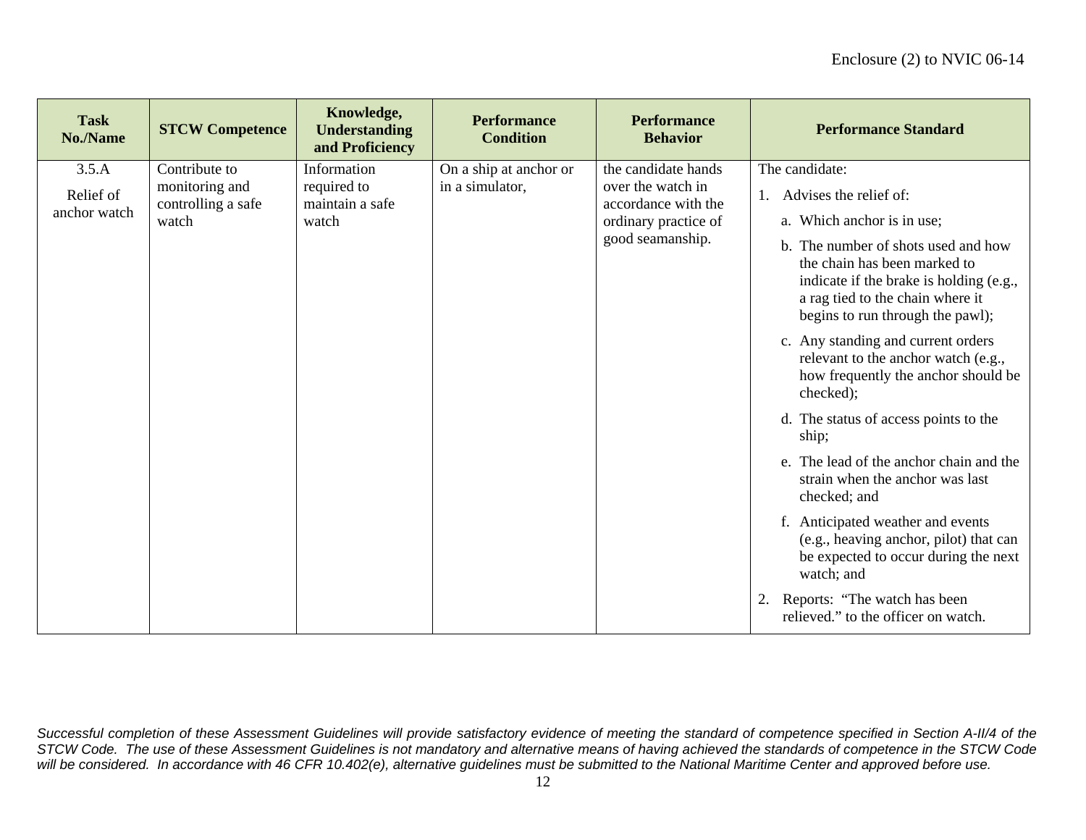| <b>Task</b><br>No./Name   | <b>STCW Competence</b>                                 | Knowledge,<br><b>Understanding</b><br>and Proficiency | <b>Performance</b><br><b>Condition</b> | <b>Performance</b><br><b>Behavior</b>                           | <b>Performance Standard</b>                                                                                                       |                                                                                                                                                                                                                                                   |
|---------------------------|--------------------------------------------------------|-------------------------------------------------------|----------------------------------------|-----------------------------------------------------------------|-----------------------------------------------------------------------------------------------------------------------------------|---------------------------------------------------------------------------------------------------------------------------------------------------------------------------------------------------------------------------------------------------|
| 3.5.A                     | Contribute to                                          | Information                                           | On a ship at anchor or                 | the candidate hands                                             | The candidate:                                                                                                                    |                                                                                                                                                                                                                                                   |
| Relief of<br>anchor watch | monitoring and<br>controlling a safe<br>watch<br>watch | required to<br>in a simulator,<br>maintain a safe     |                                        | accordance with the<br>ordinary practice of<br>good seamanship. | over the watch in                                                                                                                 | 1. Advises the relief of:<br>a. Which anchor is in use;<br>b. The number of shots used and how<br>the chain has been marked to<br>indicate if the brake is holding (e.g.,<br>a rag tied to the chain where it<br>begins to run through the pawl); |
|                           |                                                        |                                                       |                                        |                                                                 | c. Any standing and current orders<br>relevant to the anchor watch (e.g.,<br>how frequently the anchor should be<br>checked);     |                                                                                                                                                                                                                                                   |
|                           |                                                        |                                                       |                                        |                                                                 | d. The status of access points to the<br>ship;                                                                                    |                                                                                                                                                                                                                                                   |
|                           |                                                        |                                                       |                                        |                                                                 | e. The lead of the anchor chain and the<br>strain when the anchor was last<br>checked; and                                        |                                                                                                                                                                                                                                                   |
|                           |                                                        |                                                       |                                        |                                                                 | f. Anticipated weather and events<br>(e.g., heaving anchor, pilot) that can<br>be expected to occur during the next<br>watch; and |                                                                                                                                                                                                                                                   |
|                           |                                                        |                                                       |                                        |                                                                 | Reports: "The watch has been<br>relieved." to the officer on watch.                                                               |                                                                                                                                                                                                                                                   |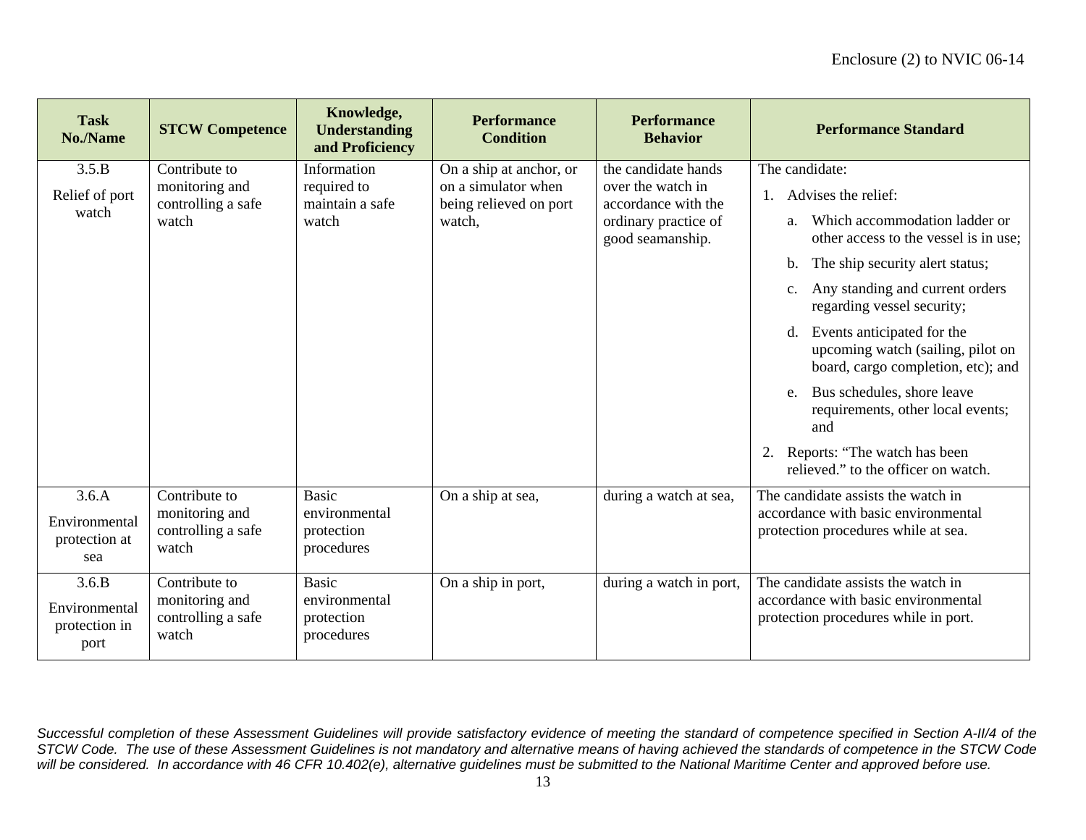| <b>Task</b><br>No./Name                | <b>STCW Competence</b>                        | Knowledge,<br><b>Understanding</b><br>and Proficiency       | <b>Performance</b><br><b>Condition</b>                                       | <b>Performance</b><br><b>Behavior</b>    | <b>Performance Standard</b>                                                                              |
|----------------------------------------|-----------------------------------------------|-------------------------------------------------------------|------------------------------------------------------------------------------|------------------------------------------|----------------------------------------------------------------------------------------------------------|
| 3.5.B                                  | Contribute to                                 | Information                                                 | On a ship at anchor, or                                                      | the candidate hands                      | The candidate:                                                                                           |
| Relief of port                         | monitoring and<br>controlling a safe          | required to<br>maintain a safe                              | on a simulator when<br>being relieved on port                                | over the watch in<br>accordance with the | Advises the relief:<br>1.                                                                                |
| watch                                  | watch                                         | watch<br>ordinary practice of<br>watch,<br>good seamanship. | Which accommodation ladder or<br>a.<br>other access to the vessel is in use; |                                          |                                                                                                          |
|                                        |                                               |                                                             |                                                                              |                                          | The ship security alert status;<br>b.                                                                    |
|                                        |                                               |                                                             |                                                                              |                                          | Any standing and current orders<br>$\mathbf{c}$ .<br>regarding vessel security;                          |
|                                        |                                               |                                                             |                                                                              |                                          | d. Events anticipated for the<br>upcoming watch (sailing, pilot on<br>board, cargo completion, etc); and |
|                                        |                                               |                                                             |                                                                              |                                          | Bus schedules, shore leave<br>e.<br>requirements, other local events;<br>and                             |
|                                        |                                               |                                                             |                                                                              |                                          | Reports: "The watch has been<br>relieved." to the officer on watch.                                      |
| 3.6.A                                  | Contribute to                                 | <b>Basic</b>                                                | On a ship at sea,                                                            | during a watch at sea,                   | The candidate assists the watch in                                                                       |
| Environmental<br>protection at<br>sea  | monitoring and<br>controlling a safe<br>watch | environmental<br>protection<br>procedures                   |                                                                              |                                          | accordance with basic environmental<br>protection procedures while at sea.                               |
| 3.6.B                                  | Contribute to                                 | <b>Basic</b>                                                | On a ship in port,                                                           | during a watch in port,                  | The candidate assists the watch in                                                                       |
| Environmental<br>protection in<br>port | monitoring and<br>controlling a safe<br>watch | environmental<br>protection<br>procedures                   |                                                                              |                                          | accordance with basic environmental<br>protection procedures while in port.                              |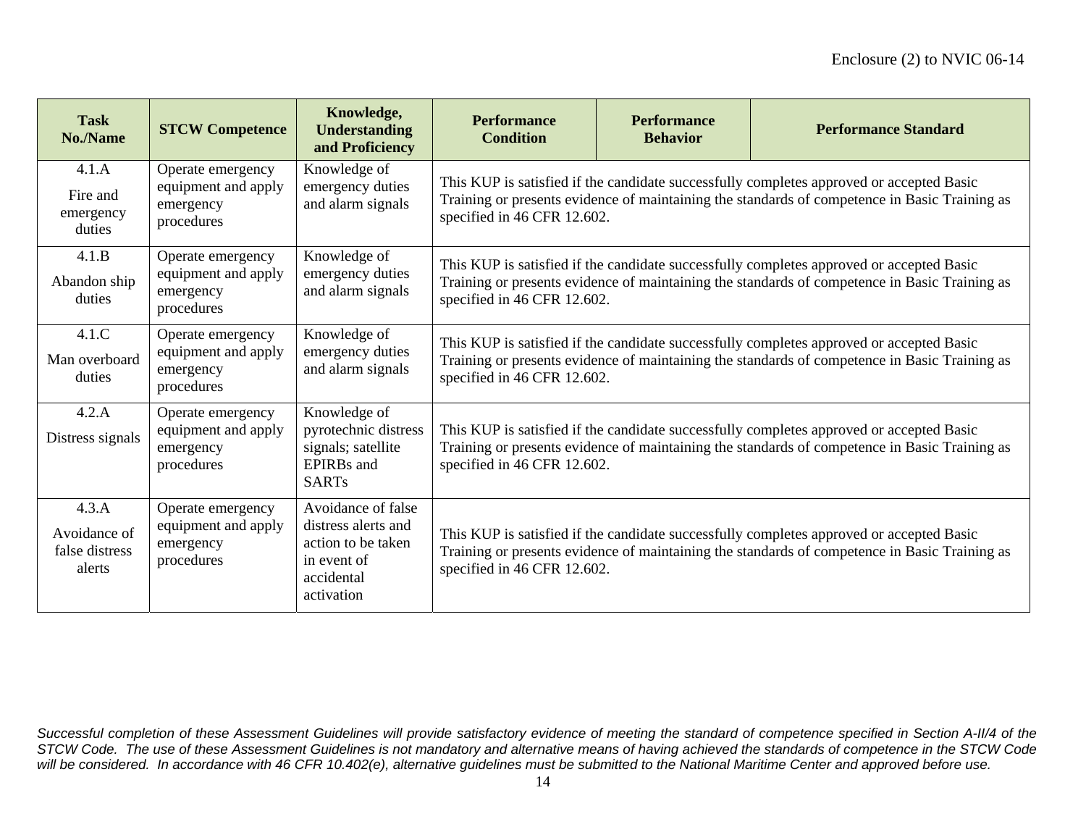| <b>Task</b><br>No./Name                           | <b>STCW Competence</b>                                              | Knowledge,<br><b>Understanding</b><br>and Proficiency                                                      | <b>Performance</b><br><b>Condition</b>                                                                                                                                                                                   | <b>Performance</b><br><b>Behavior</b> | <b>Performance Standard</b> |  |  |  |
|---------------------------------------------------|---------------------------------------------------------------------|------------------------------------------------------------------------------------------------------------|--------------------------------------------------------------------------------------------------------------------------------------------------------------------------------------------------------------------------|---------------------------------------|-----------------------------|--|--|--|
| 4.1.A<br>Fire and<br>emergency<br>duties          | Operate emergency<br>equipment and apply<br>emergency<br>procedures | Knowledge of<br>emergency duties<br>and alarm signals                                                      | This KUP is satisfied if the candidate successfully completes approved or accepted Basic<br>Training or presents evidence of maintaining the standards of competence in Basic Training as<br>specified in 46 CFR 12.602. |                                       |                             |  |  |  |
| 4.1.B<br>Abandon ship<br>duties                   | Operate emergency<br>equipment and apply<br>emergency<br>procedures | Knowledge of<br>emergency duties<br>and alarm signals                                                      | This KUP is satisfied if the candidate successfully completes approved or accepted Basic<br>Training or presents evidence of maintaining the standards of competence in Basic Training as<br>specified in 46 CFR 12.602. |                                       |                             |  |  |  |
| 4.1.C<br>Man overboard<br>duties                  | Operate emergency<br>equipment and apply<br>emergency<br>procedures | Knowledge of<br>emergency duties<br>and alarm signals                                                      | This KUP is satisfied if the candidate successfully completes approved or accepted Basic<br>Training or presents evidence of maintaining the standards of competence in Basic Training as<br>specified in 46 CFR 12.602. |                                       |                             |  |  |  |
| 4.2.A<br>Distress signals                         | Operate emergency<br>equipment and apply<br>emergency<br>procedures | Knowledge of<br>pyrotechnic distress<br>signals; satellite<br><b>EPIRBs</b> and<br><b>SARTs</b>            | This KUP is satisfied if the candidate successfully completes approved or accepted Basic<br>Training or presents evidence of maintaining the standards of competence in Basic Training as<br>specified in 46 CFR 12.602. |                                       |                             |  |  |  |
| 4.3.A<br>Avoidance of<br>false distress<br>alerts | Operate emergency<br>equipment and apply<br>emergency<br>procedures | Avoidance of false<br>distress alerts and<br>action to be taken<br>in event of<br>accidental<br>activation | This KUP is satisfied if the candidate successfully completes approved or accepted Basic<br>Training or presents evidence of maintaining the standards of competence in Basic Training as<br>specified in 46 CFR 12.602. |                                       |                             |  |  |  |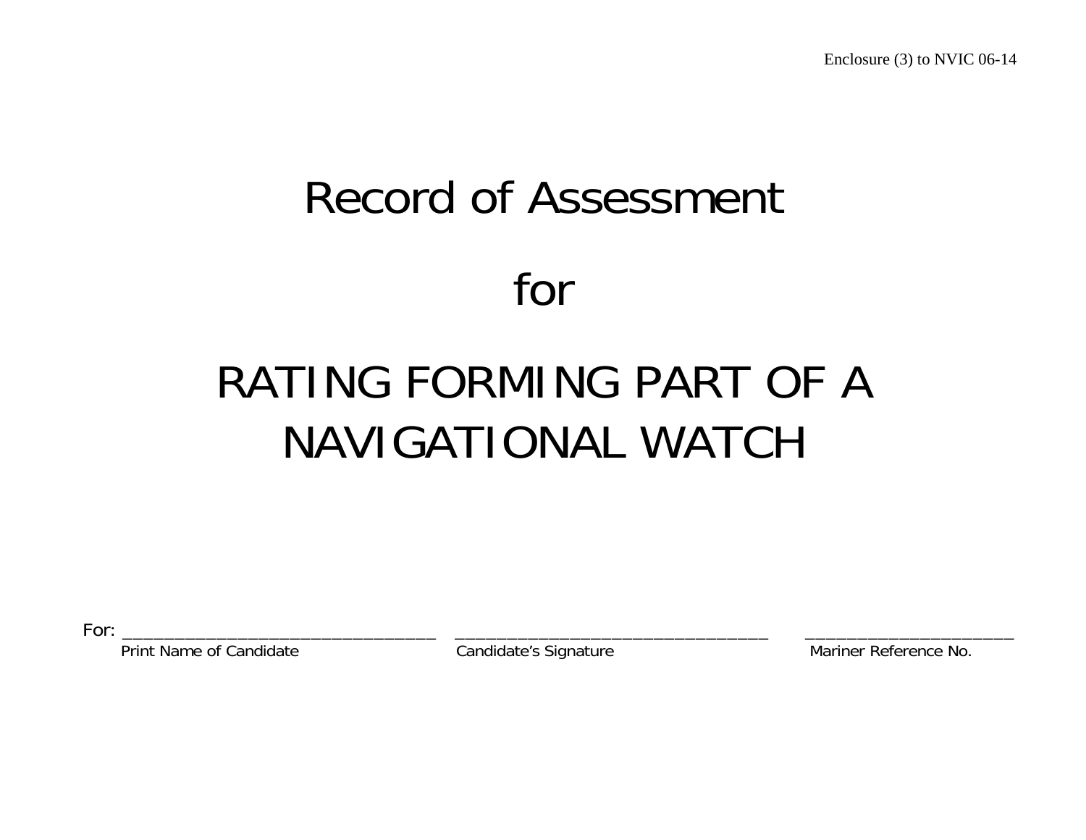# Record of Assessment for

# RATING FORMING PART OF A NAVIGATIONAL WATCH

For: \_\_\_\_\_\_\_\_\_\_\_\_\_\_\_\_\_\_\_\_\_\_\_\_\_\_\_\_\_\_ \_\_\_\_\_\_\_\_\_\_\_\_\_\_\_\_\_\_\_\_\_\_\_\_\_\_\_\_\_\_ \_\_\_\_\_\_\_\_\_\_\_\_\_\_\_\_\_\_\_\_

Print Name of Candidate **Candidate's Signature** Mariner Reference No.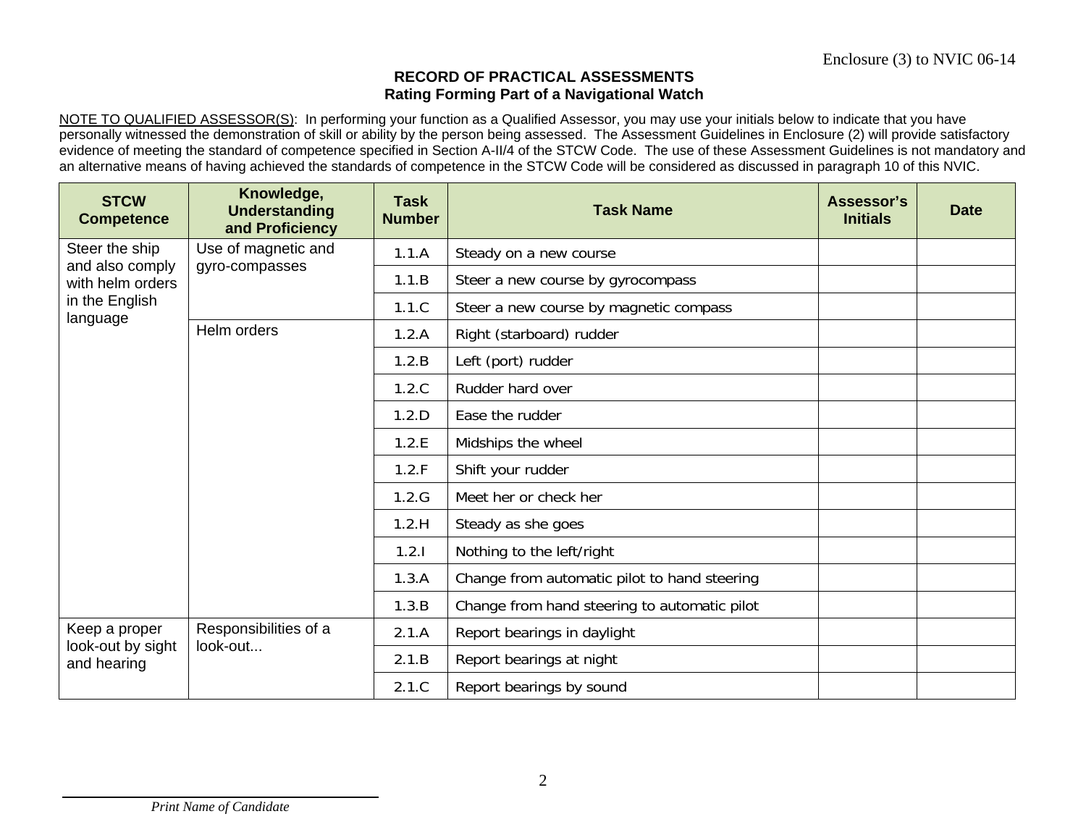#### **RECORD OF PRACTICAL ASSESSMENTSRating Forming Part of a Navigational Watch**

NOTE TO QUALIFIED ASSESSOR(S): In performing your function as a Qualified Assessor, you may use your initials below to indicate that you have personally witnessed the demonstration of skill or ability by the person being assessed. The Assessment Guidelines in Enclosure (2) will provide satisfactory evidence of meeting the standard of competence specified in Section A-II/4 of the STCW Code. The use of these Assessment Guidelines is not mandatory and an alternative means of having achieved the standards of competence in the STCW Code will be considered as discussed in paragraph 10 of this NVIC.

| <b>STCW</b><br><b>Competence</b>                      | Knowledge,<br><b>Understanding</b><br>and Proficiency | <b>Task</b><br><b>Number</b> | <b>Task Name</b>                             | Assessor's<br><b>Initials</b> | <b>Date</b> |
|-------------------------------------------------------|-------------------------------------------------------|------------------------------|----------------------------------------------|-------------------------------|-------------|
| Steer the ship<br>and also comply<br>with helm orders | Use of magnetic and                                   | 1.1.A                        | Steady on a new course                       |                               |             |
|                                                       | gyro-compasses                                        | 1.1.B                        | Steer a new course by gyrocompass            |                               |             |
| in the English<br>language                            |                                                       | 1.1.C                        | Steer a new course by magnetic compass       |                               |             |
|                                                       | Helm orders                                           | 1.2.A                        | Right (starboard) rudder                     |                               |             |
|                                                       |                                                       | 1.2.B                        | Left (port) rudder                           |                               |             |
|                                                       |                                                       | 1.2.C                        | Rudder hard over                             |                               |             |
|                                                       |                                                       | 1.2.D                        | Ease the rudder                              |                               |             |
|                                                       |                                                       | 1.2.E                        | Midships the wheel                           |                               |             |
|                                                       |                                                       | 1.2.F                        | Shift your rudder                            |                               |             |
|                                                       |                                                       | 1.2.G                        | Meet her or check her                        |                               |             |
|                                                       |                                                       | 1.2.H                        | Steady as she goes                           |                               |             |
|                                                       |                                                       | 1.2.1                        | Nothing to the left/right                    |                               |             |
|                                                       |                                                       | 1.3.A                        | Change from automatic pilot to hand steering |                               |             |
|                                                       |                                                       | 1.3.B                        | Change from hand steering to automatic pilot |                               |             |
| Keep a proper                                         | Responsibilities of a                                 | 2.1.A                        | Report bearings in daylight                  |                               |             |
| look-out by sight<br>and hearing                      | look-out                                              | 2.1.B                        | Report bearings at night                     |                               |             |
|                                                       |                                                       | 2.1.C                        | Report bearings by sound                     |                               |             |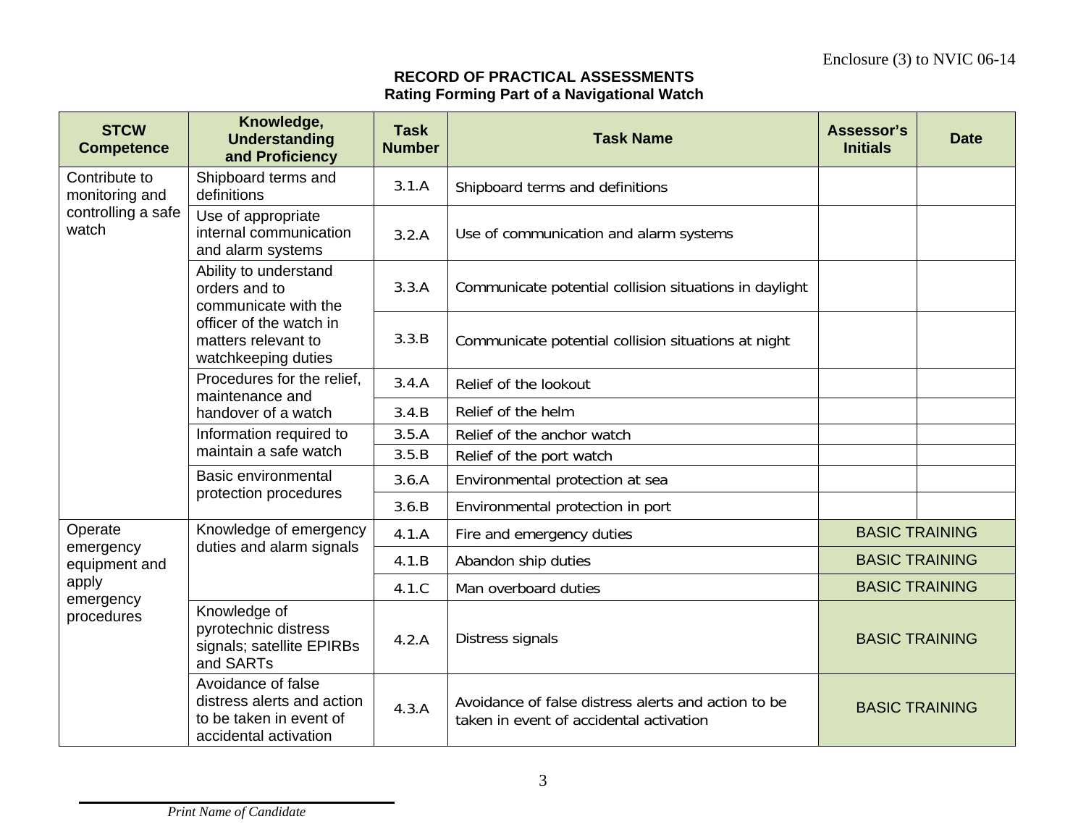# **RECORD OF PRACTICAL ASSESSMENTSRating Forming Part of a Navigational Watch**

| <b>STCW</b><br><b>Competence</b> | Knowledge,<br><b>Understanding</b><br>and Proficiency                                                | <b>Task</b><br><b>Number</b> | <b>Task Name</b>                                                                               | Assessor's<br><b>Initials</b> | <b>Date</b>           |
|----------------------------------|------------------------------------------------------------------------------------------------------|------------------------------|------------------------------------------------------------------------------------------------|-------------------------------|-----------------------|
| Contribute to<br>monitoring and  | Shipboard terms and<br>definitions                                                                   | 3.1.A                        | Shipboard terms and definitions                                                                |                               |                       |
| controlling a safe<br>watch      | Use of appropriate<br>internal communication<br>and alarm systems                                    | 3.2.A                        | Use of communication and alarm systems                                                         |                               |                       |
|                                  | Ability to understand<br>orders and to<br>communicate with the                                       | 3.3.A                        | Communicate potential collision situations in daylight                                         |                               |                       |
|                                  | officer of the watch in<br>matters relevant to<br>watchkeeping duties                                | 3.3.B                        | Communicate potential collision situations at night                                            |                               |                       |
|                                  | Procedures for the relief.<br>maintenance and                                                        | 3.4.A                        | Relief of the lookout                                                                          |                               |                       |
|                                  | handover of a watch                                                                                  | 3.4.B                        | Relief of the helm                                                                             |                               |                       |
|                                  | Information required to                                                                              | 3.5.A                        | Relief of the anchor watch                                                                     |                               |                       |
|                                  | maintain a safe watch                                                                                | 3.5.B                        | Relief of the port watch                                                                       |                               |                       |
|                                  | Basic environmental<br>protection procedures                                                         | 3.6.A                        | Environmental protection at sea                                                                |                               |                       |
|                                  |                                                                                                      | 3.6.B                        | Environmental protection in port                                                               |                               |                       |
| Operate                          | Knowledge of emergency                                                                               | 4.1.A                        | Fire and emergency duties                                                                      |                               | <b>BASIC TRAINING</b> |
| emergency<br>equipment and       | duties and alarm signals                                                                             | 4.1.B                        | Abandon ship duties                                                                            |                               | <b>BASIC TRAINING</b> |
| apply                            |                                                                                                      | 4.1.C                        | Man overboard duties                                                                           |                               | <b>BASIC TRAINING</b> |
| emergency<br>procedures          | Knowledge of<br>pyrotechnic distress<br>signals; satellite EPIRBs<br>and SARTs                       | 4.2.A                        | Distress signals                                                                               | <b>BASIC TRAINING</b>         |                       |
|                                  | Avoidance of false<br>distress alerts and action<br>to be taken in event of<br>accidental activation | 4.3.A                        | Avoidance of false distress alerts and action to be<br>taken in event of accidental activation | <b>BASIC TRAINING</b>         |                       |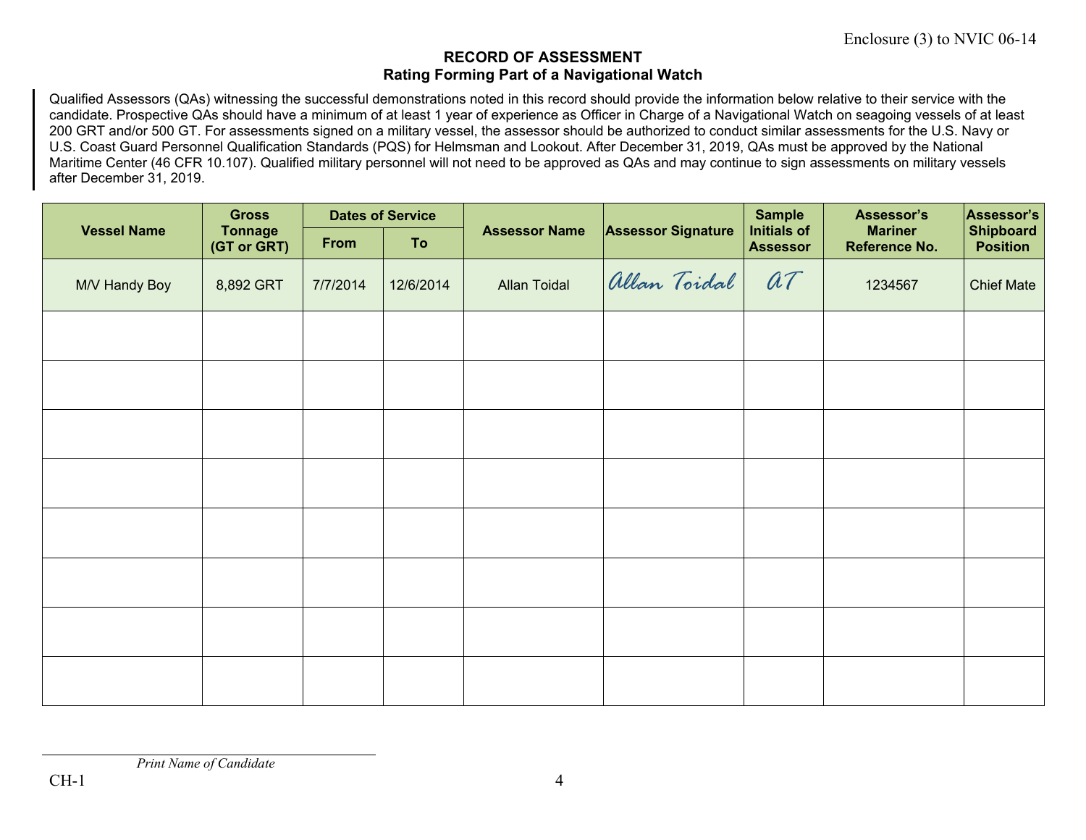#### **RECORD OF ASSESSMENT Rating Forming Part of a Navigational Watch**

Qualified Assessors (QAs) witnessing the successful demonstrations noted in this record should provide the information below relative to their service with the candidate. Prospective QAs should have a minimum of at least 1 year of experience as Officer in Charge of a Navigational Watch on seagoing vessels of at least 200 GRT and/or 500 GT. For assessments signed on a military vessel, the assessor should be authorized to conduct similar assessments for the U.S. Navy or U.S. Coast Guard Personnel Qualification Standards (PQS) for Helmsman and Lookout. After December 31, 2019, QAs must be approved by the National Maritime Center (46 CFR 10.107). Qualified military personnel will not need to be approved as QAs and may continue to sign assessments on military vessels after December 31, 2019.

|                    | <b>Gross</b><br><b>Tonnage</b><br>(GT or GRT) | <b>Dates of Service</b> |           |                      |                           | <b>Sample</b>                         | Assessor's                      | Assessor's                          |
|--------------------|-----------------------------------------------|-------------------------|-----------|----------------------|---------------------------|---------------------------------------|---------------------------------|-------------------------------------|
| <b>Vessel Name</b> |                                               | From                    | <b>To</b> | <b>Assessor Name</b> | <b>Assessor Signature</b> | <b>Initials of</b><br><b>Assessor</b> | <b>Mariner</b><br>Reference No. | <b>Shipboard</b><br><b>Position</b> |
| M/V Handy Boy      | 8,892 GRT                                     | 7/7/2014                | 12/6/2014 | <b>Allan Toidal</b>  | Allan Toidal              | at                                    | 1234567                         | <b>Chief Mate</b>                   |
|                    |                                               |                         |           |                      |                           |                                       |                                 |                                     |
|                    |                                               |                         |           |                      |                           |                                       |                                 |                                     |
|                    |                                               |                         |           |                      |                           |                                       |                                 |                                     |
|                    |                                               |                         |           |                      |                           |                                       |                                 |                                     |
|                    |                                               |                         |           |                      |                           |                                       |                                 |                                     |
|                    |                                               |                         |           |                      |                           |                                       |                                 |                                     |
|                    |                                               |                         |           |                      |                           |                                       |                                 |                                     |
|                    |                                               |                         |           |                      |                           |                                       |                                 |                                     |

*Print Name of Candidate*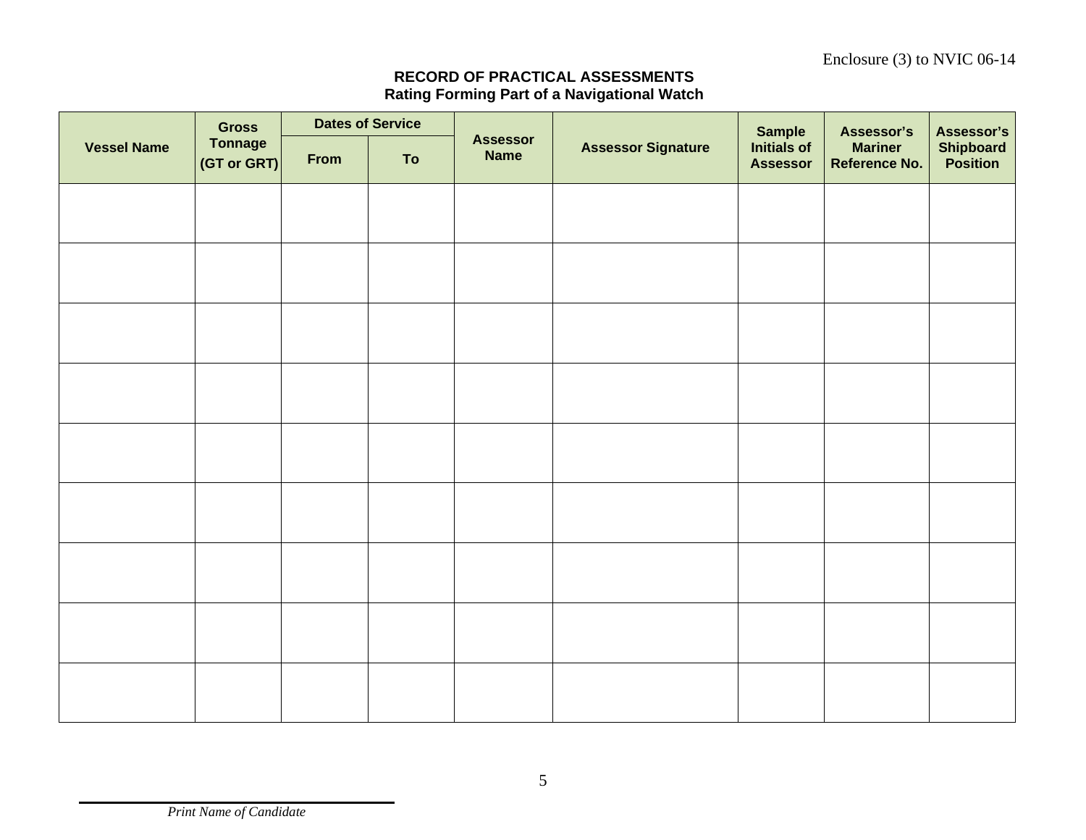### **RECORD OF PRACTICAL ASSESSMENTSRating Forming Part of a Navigational Watch**

|                    | <b>Gross</b>                  | <b>Dates of Service</b> |    |                                |                           | <b>Sample</b>                         | Assessor's                             | Assessor's                          |
|--------------------|-------------------------------|-------------------------|----|--------------------------------|---------------------------|---------------------------------------|----------------------------------------|-------------------------------------|
| <b>Vessel Name</b> | <b>Tonnage</b><br>(GT or GRT) | From                    | To | <b>Assessor</b><br><b>Name</b> | <b>Assessor Signature</b> | <b>Initials of</b><br><b>Assessor</b> | <b>Mariner</b><br><b>Reference No.</b> | <b>Shipboard</b><br><b>Position</b> |
|                    |                               |                         |    |                                |                           |                                       |                                        |                                     |
|                    |                               |                         |    |                                |                           |                                       |                                        |                                     |
|                    |                               |                         |    |                                |                           |                                       |                                        |                                     |
|                    |                               |                         |    |                                |                           |                                       |                                        |                                     |
|                    |                               |                         |    |                                |                           |                                       |                                        |                                     |
|                    |                               |                         |    |                                |                           |                                       |                                        |                                     |
|                    |                               |                         |    |                                |                           |                                       |                                        |                                     |
|                    |                               |                         |    |                                |                           |                                       |                                        |                                     |
|                    |                               |                         |    |                                |                           |                                       |                                        |                                     |
|                    |                               |                         |    |                                |                           |                                       |                                        |                                     |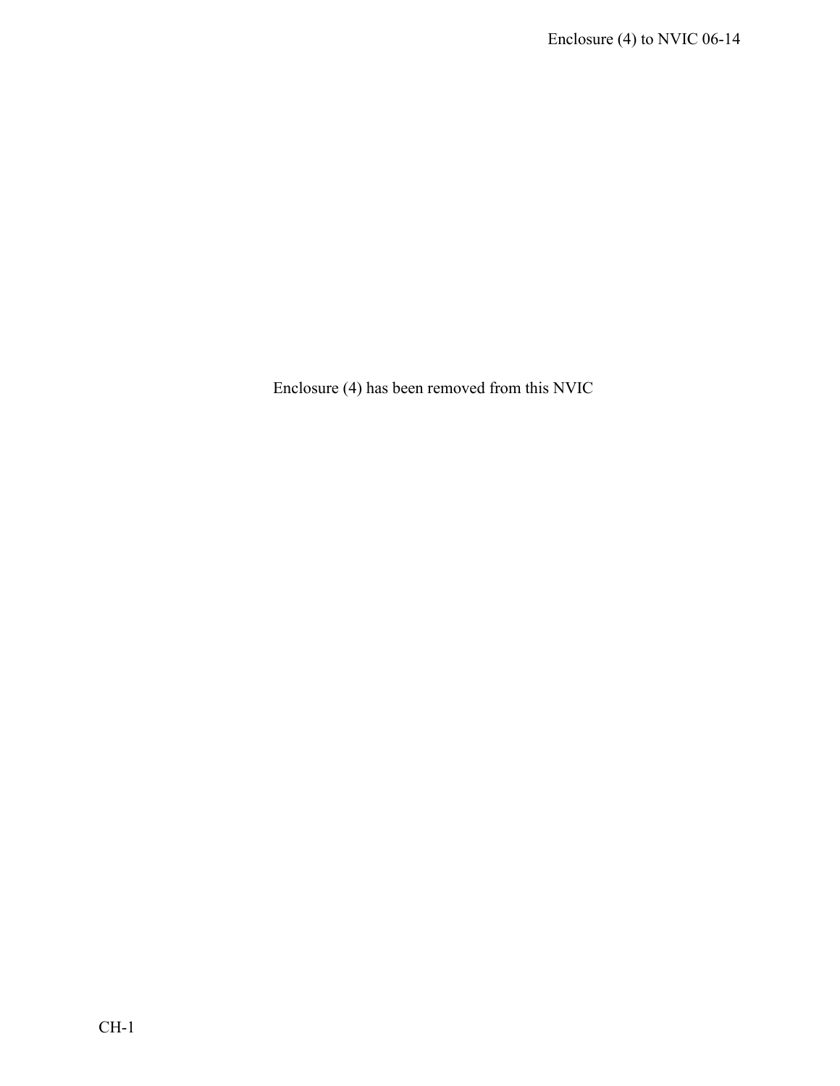Enclosure (4) has been removed from this NVIC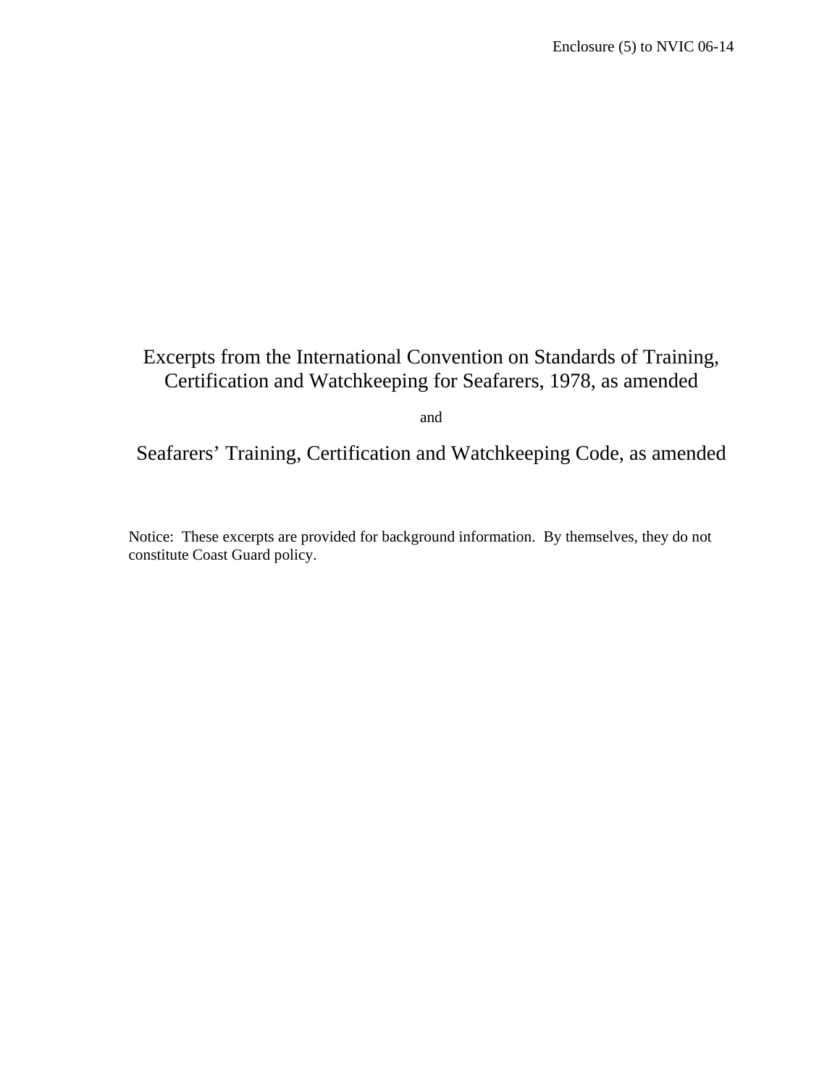# Excerpts from the International Convention on Standards of Training, Certification and Watchkeeping for Seafarers, 1978, as amended

and

Seafarers' Training, Certification and Watchkeeping Code, as amended

Notice: These excerpts are provided for background information. By themselves, they do not constitute Coast Guard policy.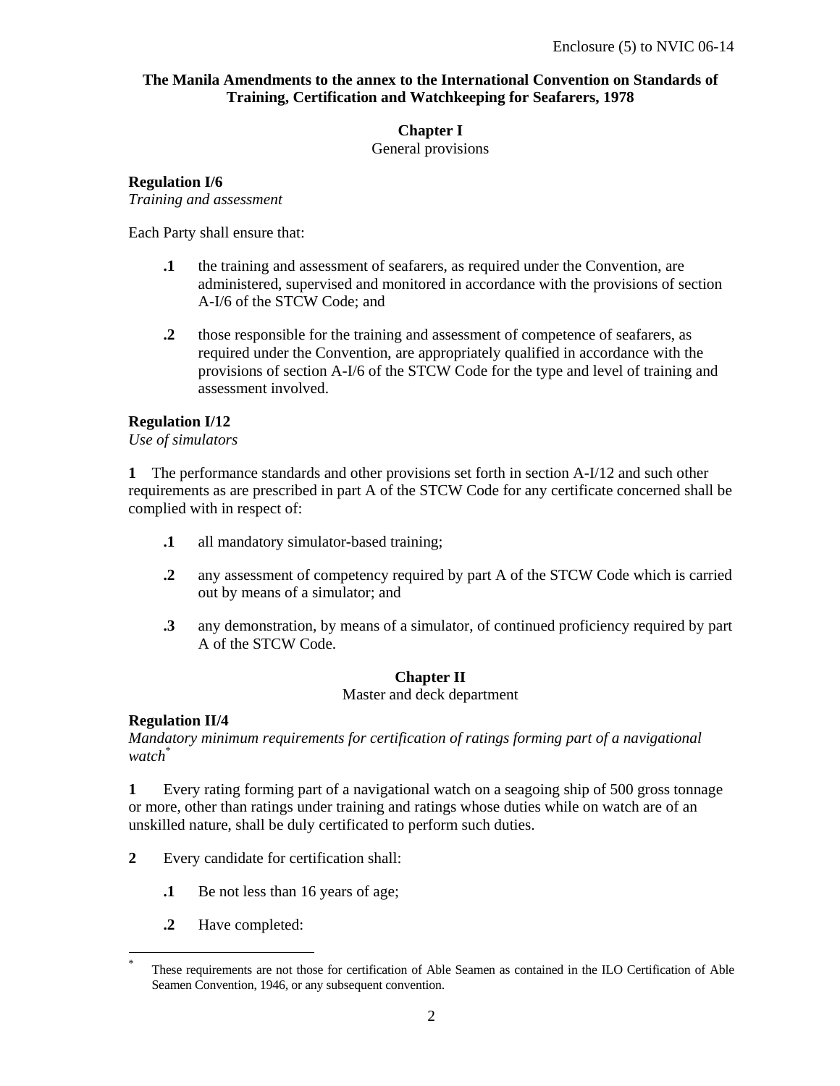#### **The Manila Amendments to the annex to the International Convention on Standards of Training, Certification and Watchkeeping for Seafarers, 1978**

#### **Chapter I**

General provisions

#### **Regulation I/6**

*Training and assessment* 

Each Party shall ensure that:

- **.1** the training and assessment of seafarers, as required under the Convention, are administered, supervised and monitored in accordance with the provisions of section A-I/6 of the STCW Code; and
- **.2** those responsible for the training and assessment of competence of seafarers, as required under the Convention, are appropriately qualified in accordance with the provisions of section A-I/6 of the STCW Code for the type and level of training and assessment involved.

### **Regulation I/12**

*Use of simulators* 

**1** The performance standards and other provisions set forth in section A-I/12 and such other requirements as are prescribed in part A of the STCW Code for any certificate concerned shall be complied with in respect of:

- **.1** all mandatory simulator-based training;
- **.2** any assessment of competency required by part A of the STCW Code which is carried out by means of a simulator; and
- **.3** any demonstration, by means of a simulator, of continued proficiency required by part A of the STCW Code.

# **Chapter II**

Master and deck department

# **Regulation II/4**

-

*Mandatory minimum requirements for certification of ratings forming part of a navigational watch*\*

**1** Every rating forming part of a navigational watch on a seagoing ship of 500 gross tonnage or more, other than ratings under training and ratings whose duties while on watch are of an unskilled nature, shall be duly certificated to perform such duties.

- **2** Every candidate for certification shall:
	- **.1** Be not less than 16 years of age;
	- **.2** Have completed:

<sup>\*</sup> These requirements are not those for certification of Able Seamen as contained in the ILO Certification of Able Seamen Convention, 1946, or any subsequent convention.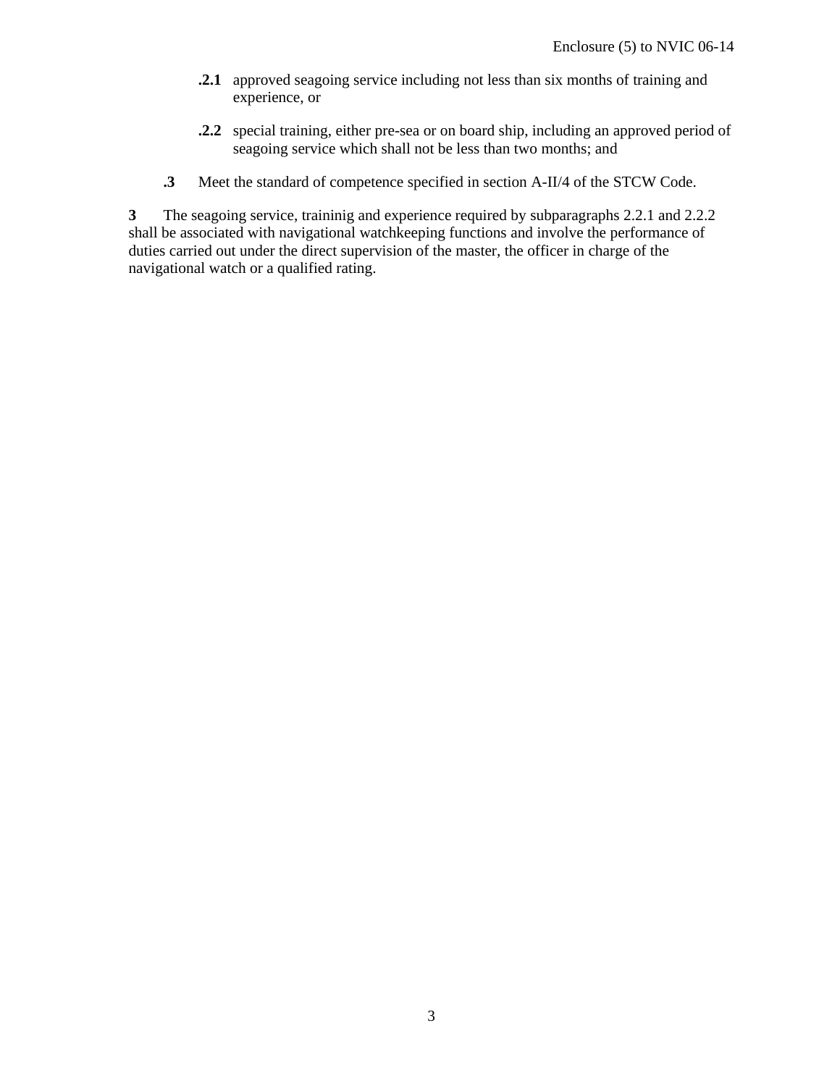- **.2.1** approved seagoing service including not less than six months of training and experience, or
- **.2.2** special training, either pre-sea or on board ship, including an approved period of seagoing service which shall not be less than two months; and
- **.3** Meet the standard of competence specified in section A-II/4 of the STCW Code.

**3** The seagoing service, traininig and experience required by subparagraphs 2.2.1 and 2.2.2 shall be associated with navigational watchkeeping functions and involve the performance of duties carried out under the direct supervision of the master, the officer in charge of the navigational watch or a qualified rating.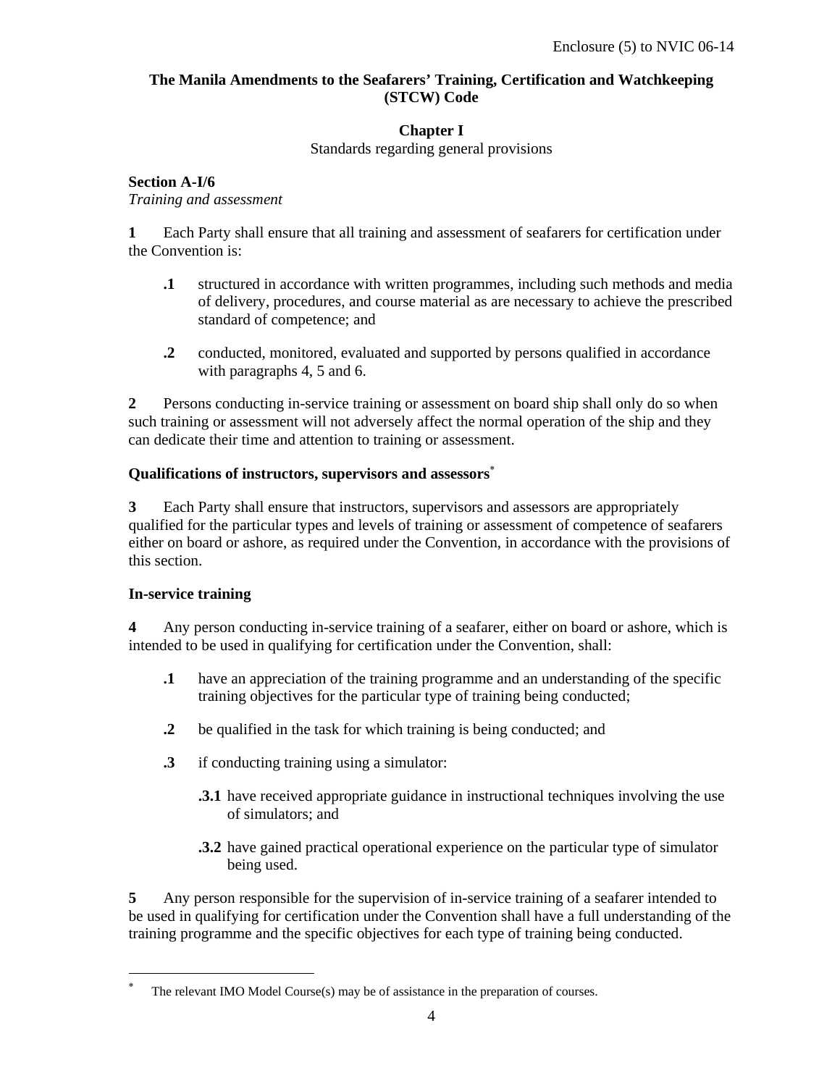#### **The Manila Amendments to the Seafarers' Training, Certification and Watchkeeping (STCW) Code**

### **Chapter I**

Standards regarding general provisions

#### **Section A-I/6**

*Training and assessment* 

**1** Each Party shall ensure that all training and assessment of seafarers for certification under the Convention is:

- **.1** structured in accordance with written programmes, including such methods and media of delivery, procedures, and course material as are necessary to achieve the prescribed standard of competence; and
- **.2** conducted, monitored, evaluated and supported by persons qualified in accordance with paragraphs 4, 5 and 6.

**2** Persons conducting in-service training or assessment on board ship shall only do so when such training or assessment will not adversely affect the normal operation of the ship and they can dedicate their time and attention to training or assessment.

#### **Qualifications of instructors, supervisors and assessors**<sup>∗</sup>

**3** Each Party shall ensure that instructors, supervisors and assessors are appropriately qualified for the particular types and levels of training or assessment of competence of seafarers either on board or ashore, as required under the Convention, in accordance with the provisions of this section.

#### **In-service training**

-

**4** Any person conducting in-service training of a seafarer, either on board or ashore, which is intended to be used in qualifying for certification under the Convention, shall:

- **.1** have an appreciation of the training programme and an understanding of the specific training objectives for the particular type of training being conducted;
- **.2** be qualified in the task for which training is being conducted; and
- **.3** if conducting training using a simulator:
	- **.3.1** have received appropriate guidance in instructional techniques involving the use of simulators; and
	- **.3.2** have gained practical operational experience on the particular type of simulator being used.

**5** Any person responsible for the supervision of in-service training of a seafarer intended to be used in qualifying for certification under the Convention shall have a full understanding of the training programme and the specific objectives for each type of training being conducted.

<sup>∗</sup> The relevant IMO Model Course(s) may be of assistance in the preparation of courses.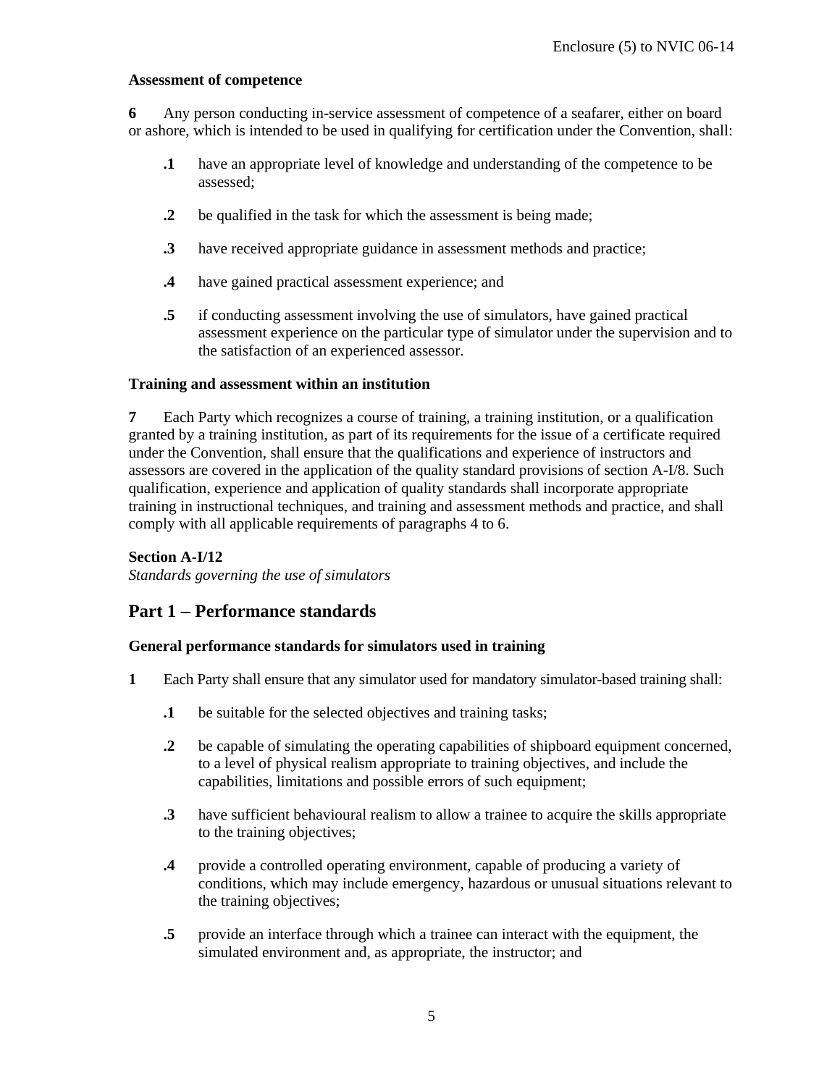#### **Assessment of competence**

**6** Any person conducting in-service assessment of competence of a seafarer, either on board or ashore, which is intended to be used in qualifying for certification under the Convention, shall:

- **.1** have an appropriate level of knowledge and understanding of the competence to be assessed;
- **.2** be qualified in the task for which the assessment is being made;
- **.3** have received appropriate guidance in assessment methods and practice;
- **.4** have gained practical assessment experience; and
- **.5** if conducting assessment involving the use of simulators, have gained practical assessment experience on the particular type of simulator under the supervision and to the satisfaction of an experienced assessor.

#### **Training and assessment within an institution**

**7** Each Party which recognizes a course of training, a training institution, or a qualification granted by a training institution, as part of its requirements for the issue of a certificate required under the Convention, shall ensure that the qualifications and experience of instructors and assessors are covered in the application of the quality standard provisions of section A-I/8. Such qualification, experience and application of quality standards shall incorporate appropriate training in instructional techniques, and training and assessment methods and practice, and shall comply with all applicable requirements of paragraphs 4 to 6.

#### **Section A-I/12**

*Standards governing the use of simulators* 

# **Part 1** − **Performance standards**

#### **General performance standards for simulators used in training**

- **1** Each Party shall ensure that any simulator used for mandatory simulator-based training shall:
	- **.1** be suitable for the selected objectives and training tasks;
	- **.2** be capable of simulating the operating capabilities of shipboard equipment concerned, to a level of physical realism appropriate to training objectives, and include the capabilities, limitations and possible errors of such equipment;
	- **.3** have sufficient behavioural realism to allow a trainee to acquire the skills appropriate to the training objectives;
	- **.4** provide a controlled operating environment, capable of producing a variety of conditions, which may include emergency, hazardous or unusual situations relevant to the training objectives;
	- **.5** provide an interface through which a trainee can interact with the equipment, the simulated environment and, as appropriate, the instructor; and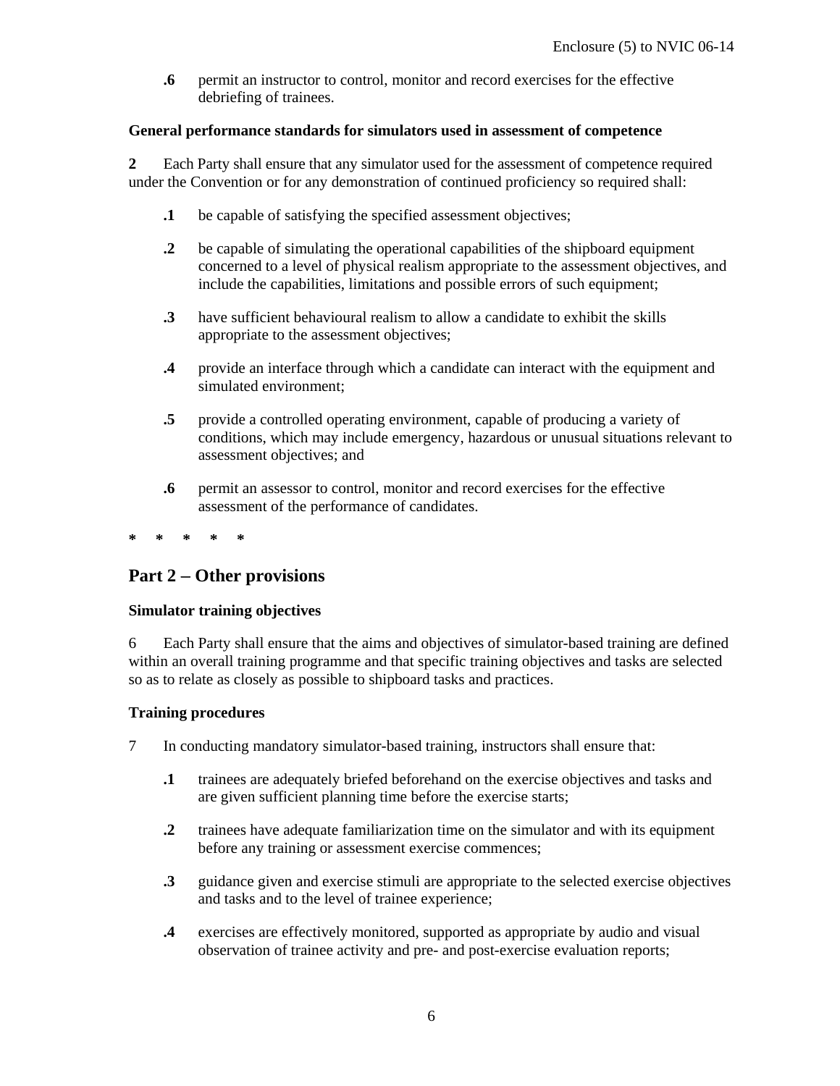**.6** permit an instructor to control, monitor and record exercises for the effective debriefing of trainees.

#### **General performance standards for simulators used in assessment of competence**

**2** Each Party shall ensure that any simulator used for the assessment of competence required under the Convention or for any demonstration of continued proficiency so required shall:

- **.1** be capable of satisfying the specified assessment objectives;
- **.2** be capable of simulating the operational capabilities of the shipboard equipment concerned to a level of physical realism appropriate to the assessment objectives, and include the capabilities, limitations and possible errors of such equipment;
- **.3** have sufficient behavioural realism to allow a candidate to exhibit the skills appropriate to the assessment objectives;
- **.4** provide an interface through which a candidate can interact with the equipment and simulated environment;
- **.5** provide a controlled operating environment, capable of producing a variety of conditions, which may include emergency, hazardous or unusual situations relevant to assessment objectives; and
- **.6** permit an assessor to control, monitor and record exercises for the effective assessment of the performance of candidates.
- **\* \* \* \* \***

# **Part 2** − **Other provisions**

#### **Simulator training objectives**

6 Each Party shall ensure that the aims and objectives of simulator-based training are defined within an overall training programme and that specific training objectives and tasks are selected so as to relate as closely as possible to shipboard tasks and practices.

#### **Training procedures**

- 7 In conducting mandatory simulator-based training, instructors shall ensure that:
	- **.1** trainees are adequately briefed beforehand on the exercise objectives and tasks and are given sufficient planning time before the exercise starts;
	- **.2** trainees have adequate familiarization time on the simulator and with its equipment before any training or assessment exercise commences;
	- **.3** guidance given and exercise stimuli are appropriate to the selected exercise objectives and tasks and to the level of trainee experience;
	- **.4** exercises are effectively monitored, supported as appropriate by audio and visual observation of trainee activity and pre- and post-exercise evaluation reports;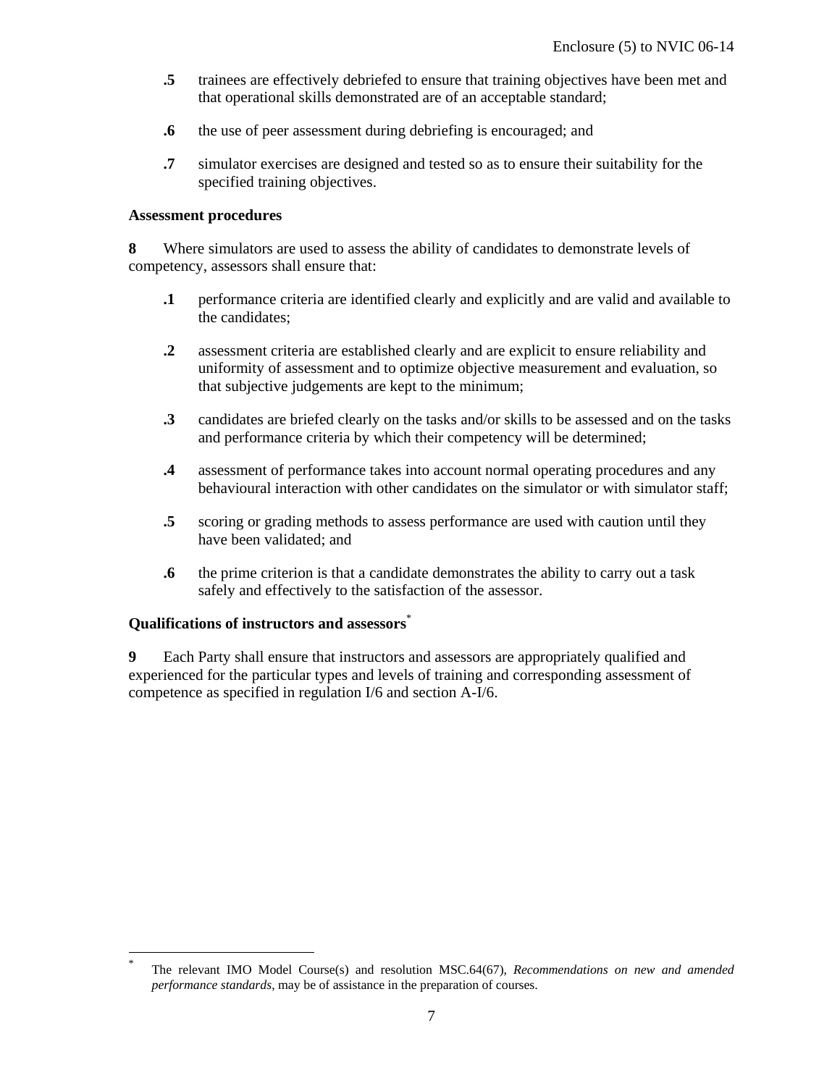- **.5** trainees are effectively debriefed to ensure that training objectives have been met and that operational skills demonstrated are of an acceptable standard;
- **.6** the use of peer assessment during debriefing is encouraged; and
- **.7** simulator exercises are designed and tested so as to ensure their suitability for the specified training objectives.

#### **Assessment procedures**

**8** Where simulators are used to assess the ability of candidates to demonstrate levels of competency, assessors shall ensure that:

- **.1** performance criteria are identified clearly and explicitly and are valid and available to the candidates;
- **.2** assessment criteria are established clearly and are explicit to ensure reliability and uniformity of assessment and to optimize objective measurement and evaluation, so that subjective judgements are kept to the minimum;
- **.3** candidates are briefed clearly on the tasks and/or skills to be assessed and on the tasks and performance criteria by which their competency will be determined;
- **.4** assessment of performance takes into account normal operating procedures and any behavioural interaction with other candidates on the simulator or with simulator staff;
- **.5** scoring or grading methods to assess performance are used with caution until they have been validated; and
- **.6** the prime criterion is that a candidate demonstrates the ability to carry out a task safely and effectively to the satisfaction of the assessor.

#### **Qualifications of instructors and assessors**\*

-

**9** Each Party shall ensure that instructors and assessors are appropriately qualified and experienced for the particular types and levels of training and corresponding assessment of competence as specified in regulation I/6 and section A-I/6.

<sup>\*</sup> The relevant IMO Model Course(s) and resolution MSC.64(67), *Recommendations on new and amended performance standards*, may be of assistance in the preparation of courses.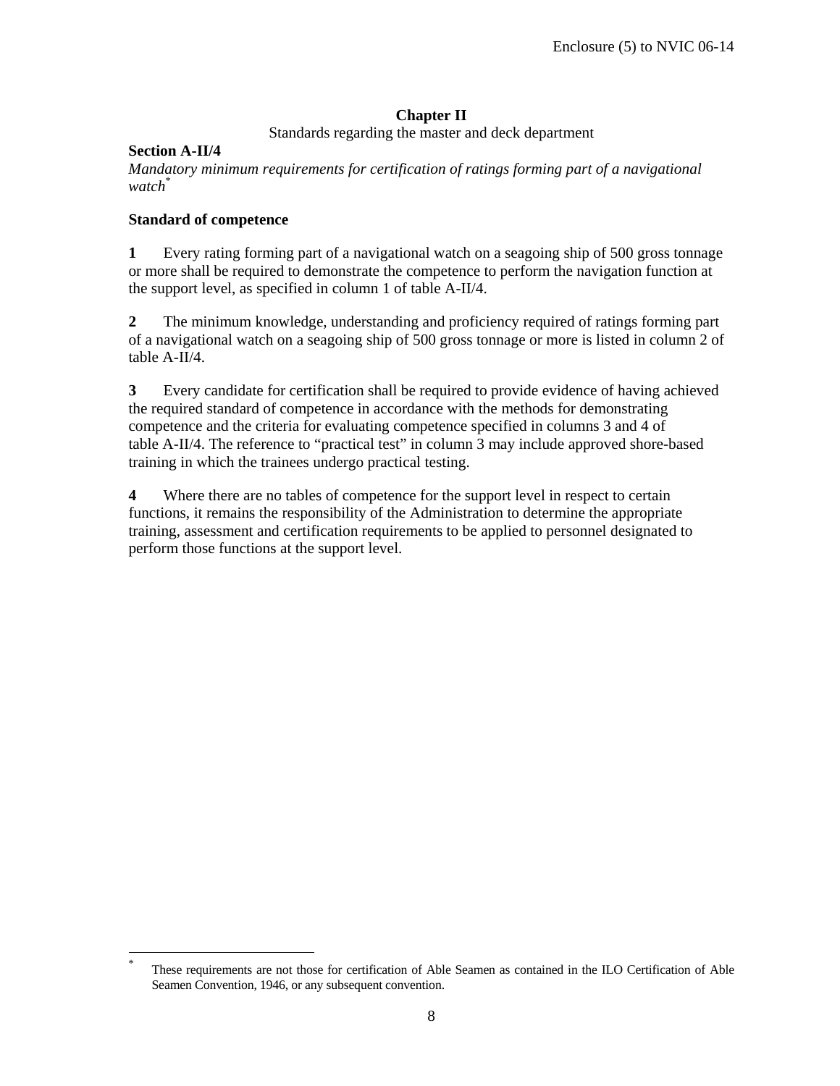# **Chapter II**

Standards regarding the master and deck department

### **Section A-II/4**

-

*Mandatory minimum requirements for certification of ratings forming part of a navigational watch*\*

#### **Standard of competence**

**1** Every rating forming part of a navigational watch on a seagoing ship of 500 gross tonnage or more shall be required to demonstrate the competence to perform the navigation function at the support level, as specified in column 1 of table A-II/4.

**2** The minimum knowledge, understanding and proficiency required of ratings forming part of a navigational watch on a seagoing ship of 500 gross tonnage or more is listed in column 2 of table A-II/4.

**3** Every candidate for certification shall be required to provide evidence of having achieved the required standard of competence in accordance with the methods for demonstrating competence and the criteria for evaluating competence specified in columns 3 and 4 of table A-II/4. The reference to "practical test" in column 3 may include approved shore-based training in which the trainees undergo practical testing.

**4** Where there are no tables of competence for the support level in respect to certain functions, it remains the responsibility of the Administration to determine the appropriate training, assessment and certification requirements to be applied to personnel designated to perform those functions at the support level.

<sup>\*</sup> These requirements are not those for certification of Able Seamen as contained in the ILO Certification of Able Seamen Convention, 1946, or any subsequent convention.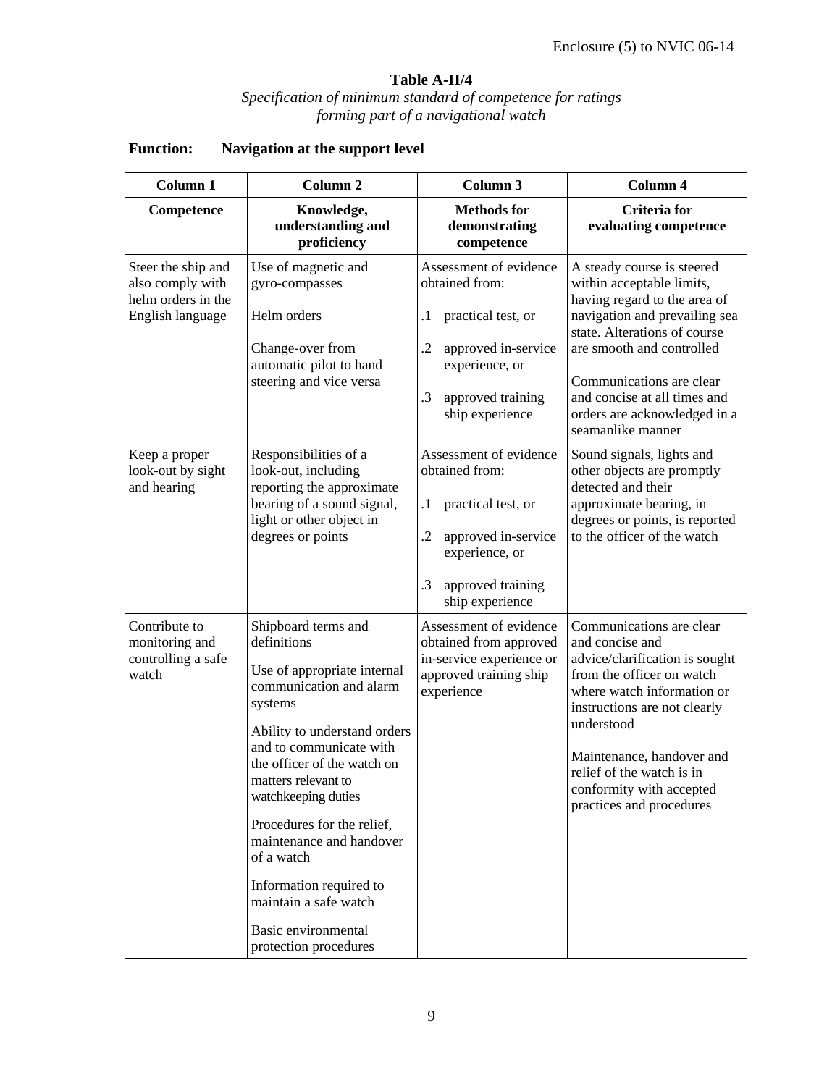# **Table A-II/4**

#### *Specification of minimum standard of competence for ratings forming part of a navigational watch*

| Column 1                                                                         | Column <sub>2</sub>                                                                                                                                                                                                                                                                                                                                                                                                         | Column 3                                                                                                                                                                           | Column 4                                                                                                                                                                                                                                                                                                 |  |  |
|----------------------------------------------------------------------------------|-----------------------------------------------------------------------------------------------------------------------------------------------------------------------------------------------------------------------------------------------------------------------------------------------------------------------------------------------------------------------------------------------------------------------------|------------------------------------------------------------------------------------------------------------------------------------------------------------------------------------|----------------------------------------------------------------------------------------------------------------------------------------------------------------------------------------------------------------------------------------------------------------------------------------------------------|--|--|
| Competence                                                                       | Knowledge,<br>understanding and<br>proficiency                                                                                                                                                                                                                                                                                                                                                                              | <b>Methods</b> for<br>demonstrating<br>competence                                                                                                                                  | <b>Criteria</b> for<br>evaluating competence                                                                                                                                                                                                                                                             |  |  |
| Steer the ship and<br>also comply with<br>helm orders in the<br>English language | Use of magnetic and<br>gyro-compasses<br>Helm orders<br>Change-over from<br>automatic pilot to hand<br>steering and vice versa                                                                                                                                                                                                                                                                                              | Assessment of evidence<br>obtained from:<br>practical test, or<br>$\cdot$<br>$\cdot$<br>approved in-service<br>experience, or<br>.3<br>approved training<br>ship experience        | A steady course is steered<br>within acceptable limits,<br>having regard to the area of<br>navigation and prevailing sea<br>state. Alterations of course<br>are smooth and controlled<br>Communications are clear<br>and concise at all times and<br>orders are acknowledged in a<br>seamanlike manner   |  |  |
| Keep a proper<br>look-out by sight<br>and hearing                                | Responsibilities of a<br>look-out, including<br>reporting the approximate<br>bearing of a sound signal,<br>light or other object in<br>degrees or points                                                                                                                                                                                                                                                                    | Assessment of evidence<br>obtained from:<br>$\cdot$<br>practical test, or<br>$\cdot$<br>approved in-service<br>experience, or<br>$\cdot$ 3<br>approved training<br>ship experience | Sound signals, lights and<br>other objects are promptly<br>detected and their<br>approximate bearing, in<br>degrees or points, is reported<br>to the officer of the watch                                                                                                                                |  |  |
| Contribute to<br>monitoring and<br>controlling a safe<br>watch                   | Shipboard terms and<br>definitions<br>Use of appropriate internal<br>communication and alarm<br>systems<br>Ability to understand orders<br>and to communicate with<br>the officer of the watch on<br>matters relevant to<br>watchkeeping duties<br>Procedures for the relief,<br>maintenance and handover<br>of a watch<br>Information required to<br>maintain a safe watch<br>Basic environmental<br>protection procedures | Assessment of evidence<br>obtained from approved<br>in-service experience or<br>approved training ship<br>experience                                                               | Communications are clear<br>and concise and<br>advice/clarification is sought<br>from the officer on watch<br>where watch information or<br>instructions are not clearly<br>understood<br>Maintenance, handover and<br>relief of the watch is in<br>conformity with accepted<br>practices and procedures |  |  |

# **Function: Navigation at the support level**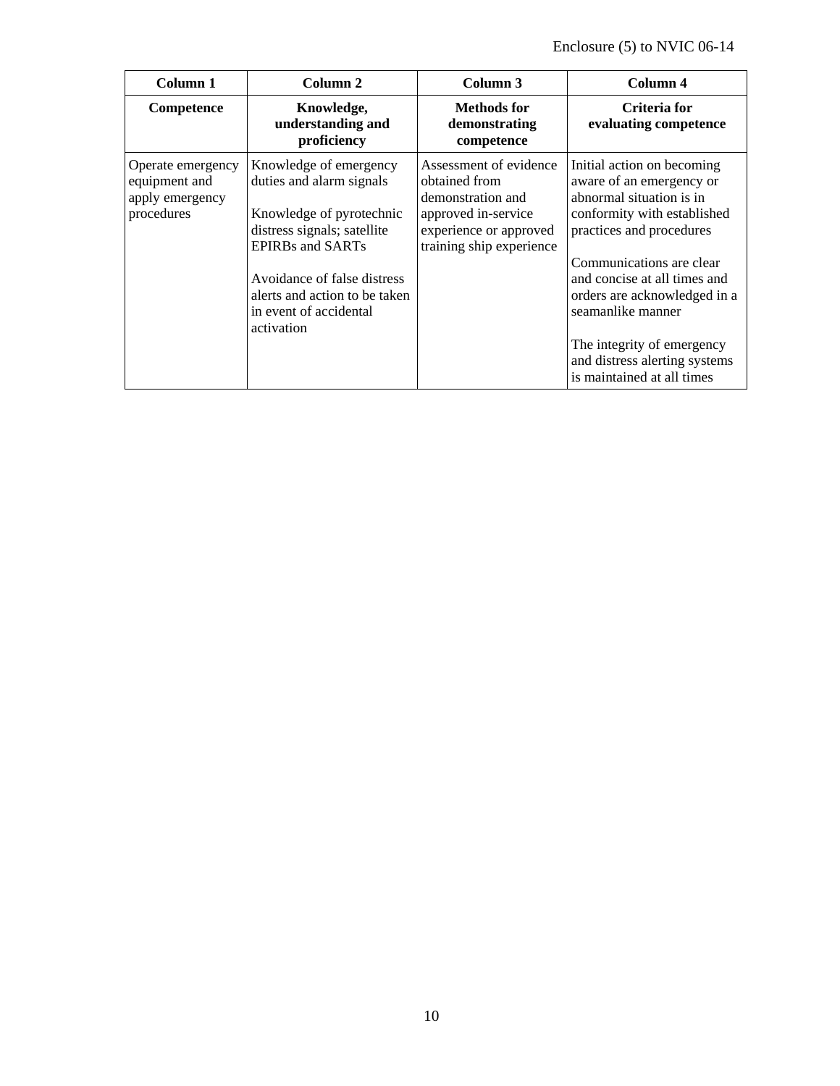| Column 1                                                            | Column 2                                                                                                                                                                                                                                         | Column 3                                                                                                                                  | Column 4                                                                                                                                                                                                                                                                                                                                                    |
|---------------------------------------------------------------------|--------------------------------------------------------------------------------------------------------------------------------------------------------------------------------------------------------------------------------------------------|-------------------------------------------------------------------------------------------------------------------------------------------|-------------------------------------------------------------------------------------------------------------------------------------------------------------------------------------------------------------------------------------------------------------------------------------------------------------------------------------------------------------|
| Competence                                                          | Knowledge,<br>understanding and<br>proficiency                                                                                                                                                                                                   | Methods for<br>demonstrating<br>competence                                                                                                | Criteria for<br>evaluating competence                                                                                                                                                                                                                                                                                                                       |
| Operate emergency<br>equipment and<br>apply emergency<br>procedures | Knowledge of emergency<br>duties and alarm signals<br>Knowledge of pyrotechnic<br>distress signals; satellite<br><b>EPIRBs and SARTs</b><br>Avoidance of false distress<br>alerts and action to be taken<br>in event of accidental<br>activation | Assessment of evidence<br>obtained from<br>demonstration and<br>approved in-service<br>experience or approved<br>training ship experience | Initial action on becoming<br>aware of an emergency or<br>abnormal situation is in<br>conformity with established<br>practices and procedures<br>Communications are clear<br>and concise at all times and<br>orders are acknowledged in a<br>seamanlike manner<br>The integrity of emergency<br>and distress alerting systems<br>is maintained at all times |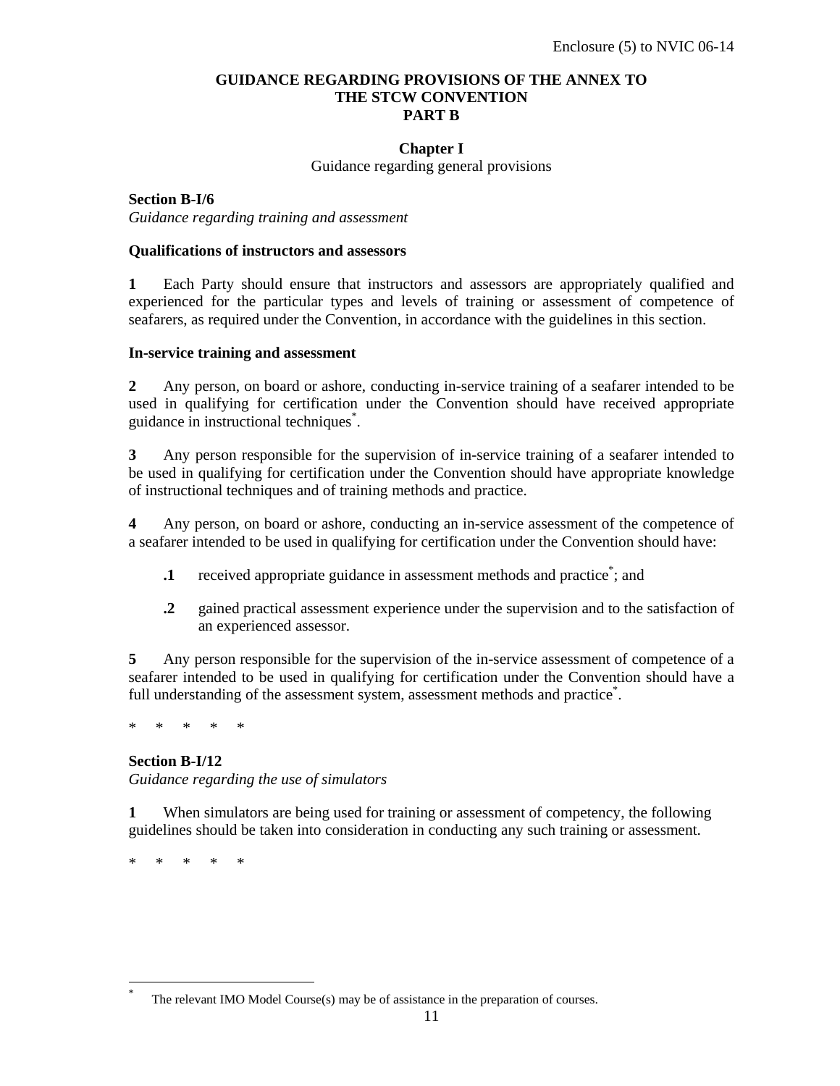#### **GUIDANCE REGARDING PROVISIONS OF THE ANNEX TO THE STCW CONVENTION PART B**

#### **Chapter I**

Guidance regarding general provisions

**Section B-I/6** *Guidance regarding training and assessment* 

#### **Qualifications of instructors and assessors**

**1** Each Party should ensure that instructors and assessors are appropriately qualified and experienced for the particular types and levels of training or assessment of competence of seafarers, as required under the Convention, in accordance with the guidelines in this section.

#### **In-service training and assessment**

**2** Any person, on board or ashore, conducting in-service training of a seafarer intended to be used in qualifying for certification under the Convention should have received appropriate guidance in instructional techniques\* .

**3** Any person responsible for the supervision of in-service training of a seafarer intended to be used in qualifying for certification under the Convention should have appropriate knowledge of instructional techniques and of training methods and practice.

**4** Any person, on board or ashore, conducting an in-service assessment of the competence of a seafarer intended to be used in qualifying for certification under the Convention should have:

- **1** received appropriate guidance in assessment methods and practice<sup>\*</sup>; and
- **.2** gained practical assessment experience under the supervision and to the satisfaction of an experienced assessor.

**5** Any person responsible for the supervision of the in-service assessment of competence of a seafarer intended to be used in qualifying for certification under the Convention should have a full understanding of the assessment system, assessment methods and practice<sup>\*</sup>.

\* \* \* \* \*

#### **Section B-I/12**

*Guidance regarding the use of simulators* 

**1** When simulators are being used for training or assessment of competency, the following guidelines should be taken into consideration in conducting any such training or assessment.

\* \* \* \* \*

-

<sup>\*</sup> The relevant IMO Model Course(s) may be of assistance in the preparation of courses.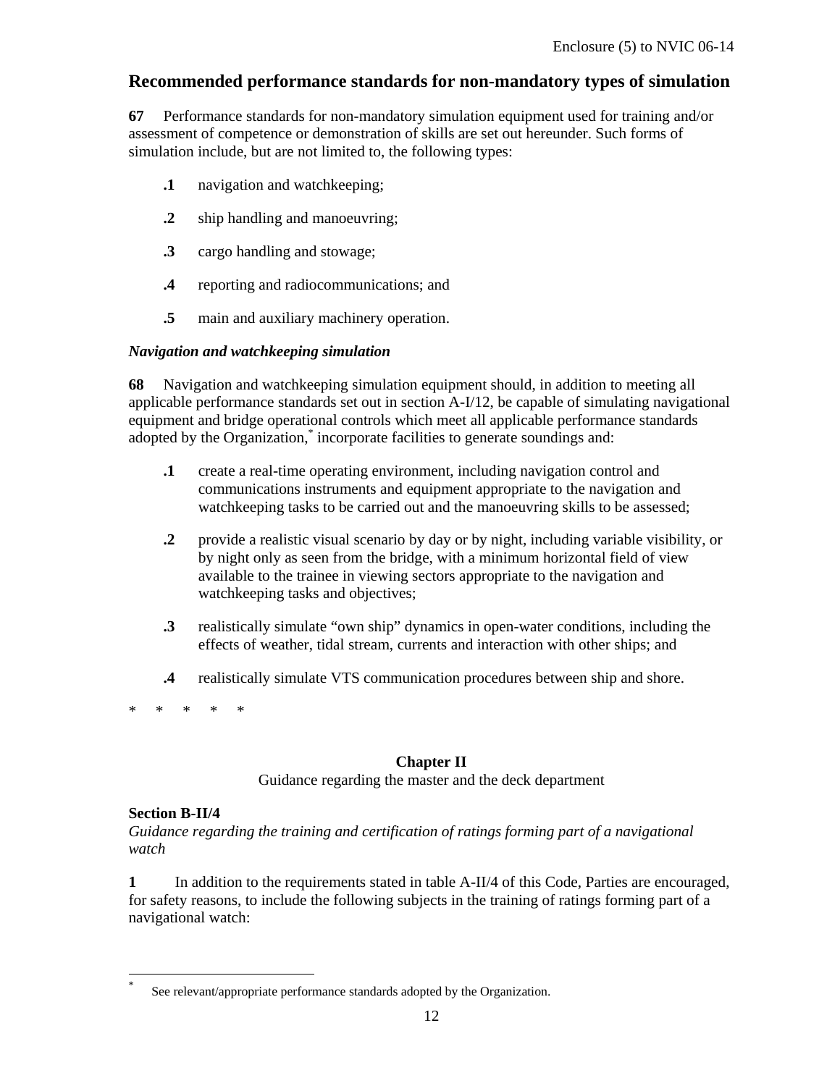# **Recommended performance standards for non-mandatory types of simulation**

**67** Performance standards for non-mandatory simulation equipment used for training and/or assessment of competence or demonstration of skills are set out hereunder. Such forms of simulation include, but are not limited to, the following types:

- **.1** navigation and watchkeeping;
- **.2** ship handling and manoeuvring;
- **.3** cargo handling and stowage;
- **.4** reporting and radiocommunications; and
- **.5** main and auxiliary machinery operation.

#### *Navigation and watchkeeping simulation*

**68** Navigation and watchkeeping simulation equipment should, in addition to meeting all applicable performance standards set out in section A-I/12, be capable of simulating navigational equipment and bridge operational controls which meet all applicable performance standards adopted by the Organization,<sup>\*</sup> incorporate facilities to generate soundings and:

- **.1** create a real-time operating environment, including navigation control and communications instruments and equipment appropriate to the navigation and watchkeeping tasks to be carried out and the manoeuvring skills to be assessed;
- **.2** provide a realistic visual scenario by day or by night, including variable visibility, or by night only as seen from the bridge, with a minimum horizontal field of view available to the trainee in viewing sectors appropriate to the navigation and watchkeeping tasks and objectives;
- **.3** realistically simulate "own ship" dynamics in open-water conditions, including the effects of weather, tidal stream, currents and interaction with other ships; and
- **.4** realistically simulate VTS communication procedures between ship and shore.
- \* \* \* \* \*

#### **Chapter II**

Guidance regarding the master and the deck department

#### **Section B-II/4**

-

*Guidance regarding the training and certification of ratings forming part of a navigational watch* 

**1** In addition to the requirements stated in table A-II/4 of this Code, Parties are encouraged, for safety reasons, to include the following subjects in the training of ratings forming part of a navigational watch:

<sup>\*</sup> See relevant/appropriate performance standards adopted by the Organization.